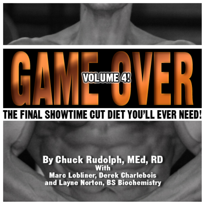



# THE FINAL SHOWTIME CUT DIET YOU'LL EVER NEED!

# **By Chuck Rudolph, MEd, RD With Marc Lobliner, Derek Charlebois** and Layne Norton, BS Biochemistry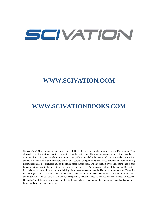# SCIVATION

# **WWW.SCIVATION.COM**

# **WWW.SCIVATIONBOOKS.COM**

©Copyright 2008 Scivation, Inc. All rights reserved. No duplication or reproduction on "The Cut Diet Volume 4" is allowed in any form without written permission from Scivation, Inc. The opinions expressed are not necessarily the opinions of Scivation, Inc. No claim or opinion in this guide is intended to be , nor should be construed to be, medical advice. Please consult with a healthcare professional before starting any diet or exercise program. The food and drug administration has not evaluated any of the claims made in this book. The information or products mentioned in this book are not intended to diagnose, treat, cure or prevent any disease. The respective authors of the book and Scivation, Inc. make no representations about the suitability of the information contained in this guide for any purpose. The entire risk arising out of the use of its contents remains with the recipient. In no event shall the respective authors of this book and or Scivation, Inc. be liable for any direct, consequential, incidental, special, punitive or other damages whatsoever. By reading and following the principles in this guide, you acknowledge that you have read, understand and agree to be bound by these terms and conditions.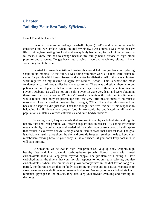# **Chapter 1 Building Your Best Body** *Efficiently*

#### How I Found the *Cut Diet*

I was a division-one college baseball player ("D-1") and what most would consider a top-level athlete. When I injured my elbow, I was a mess. I was living the easy life; drinking beer, eating fast food, and was quickly becoming, for lack of better terms, a fat mess. I knew this had to change because my family had a history of high blood pressure and diabetes. To get back into playing shape and rehab my elbow, I knew something had to be done.

I started to research nutrition thinking this could help me get back into playing shape in six months. At that time, I was doing volunteer work at a renal care center (a center for people with kidney disease) and a center for diabetics. All of this was volunteer work required on my resume to apply for Medical School. This is where the most fundamental part of how to diet became clear to me. There was a dietitian there who put patients on a meal plan with five to six meals per day. Some of these patients on insulin (Type I Diabetic) as well as not on insulin (Type II) were very lean and were obtaining these results with no exercise. Within 6-10 weeks, patients with controlled insulin levels would reduce their body fat percentage and lose very little muscle mass or no muscle mass at all. I was amazed at these results. I thought, "What if I could eat this way and get back into shape?" I did just that. Then the thought occurred, "What if this response to balancing insulin levels via proper food intake could be duplicated in all healthy populations, athletes, exercise enthusiasts, and even bodybuilders?"

By eating small, frequent meals that are low in starchy carbohydrates and high in healthy fats and lean protein, you create adequate insulin release. By eating infrequent meals with high carbohydrates and loaded with calories, you cause a drastic insulin spike that results in excessive bodyfat storage and an insulin crash that halts fat loss. The goal is to balance insulin throughout the day and provide frequent, smaller meals to keep your metabolism revving because your body is like a furnace—if you don't keep coal in it, it will stop burning.

At Scivation, we believe in high lean protein (2.0-3.2g/kg body weight), high healthy fats and low glycemic carbohydrates (mostly fibrous ones) with timed carbohydrate loads to keep your thyroid happy. The problem with eating all low carbohydrate all the time is that your thyroid responds to not only total calories, but also carbohydrates. When there are no or very low carbohydrates in the diet for too long of a period, the thyroid senses that the body is starving or dying and its natural response is to slow down your metabolic rate to preserve bodymass. Not only do the carbohydrate loads replenish glycogen to the muscle, they also keep your thyroid cranking and burning all day long.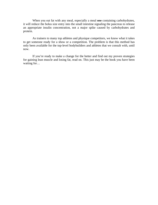When you eat fat with any meal, especially a meal one containing carbohydrates, it will reduce the bolus size entry into the small intestine signaling the pancreas to release an appropriate insulin concentration, not a major spike caused by carbohydrates and protein.

As trainers to many top athletes and physique competitors, we know what it takes to get someone ready for a show or a competition. The problem is that this method has only been available for the top-level bodybuilders and athletes that we consult with, until now.

If you're ready to make a change for the better and find out my proven strategies for gaining lean muscle and losing fat, read on. This just may be the book you have been waiting for...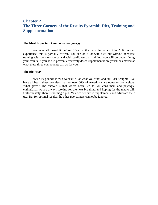### **Chapter 2 The Three Corners of the Results Pyramid: Diet, Training and Supplementation**

#### **The Most Important Component—Synergy**

We have all heard it before, "Diet is the most important thing." From our experience, this is partially correct. You can do a lot with diet, but without adequate training with both resistance and with cardiovascular training, you will be undermining your results. If you add in proven, effectively dosed supplementation, you'll be amazed at what these three components can do for you.

#### **The Big Hoax**

"Lose 10 pounds in two weeks!" "Eat what you want and still lose weight!" We have all heard these promises, but yet over 60% of Americans are obese or overweight. What gives? The answer is that we've been lied to. As consumers and physique enthusiasts, we are always looking for the next big thing and hoping for the magic pill. Unfortunately, there is no magic pill. Yes, we believe in supplements and advocate their use. But for optimal results, the other two corners cannot be ignored!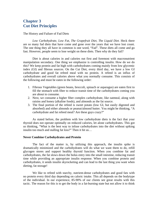## **Chapter 3 Cut Diet Principles**

The History and Failure of Fad Diets

*Low Carbohydrate, Low Fat, The Grapefruit Diet, The Liquid Diet.* Heck there are so many fad diets that have come and gone over the years that we have lost count. The one thing they all have in common is one word, "Fad". These diets all come and go fast. However, people seem to lose weight on these diets. Then why do they fail?

Diet is about calories in and calories out first and foremost with macronutrient manipulation secondary. One thing we emphasize is controlling insulin. How do we do this? We keep protein and fat high with carbohydrates coming mainly from low glycemic index (GI) and fibrous sources. On the Cut Diet, every third day, we have a low GI carbohydrate and good fat refeed meal with no protein. A refeed is an influx of carbohydrates and overall calories above what you normally consume. This consists of the following and must be eaten in the following order:

- 1. Fibrous Vegetables (green beans, broccoli, spinach or asparagus) are eaten first to fill the stomach with fiber to reduce transit time of the carbohydrates coming you are about to consume.
- 2. Next, we consume a higher fiber complex carbohydrate, like oatmeal, along with raisins and honey (alkaline foods), and almonds as the fat source.
- 3. The final portion of the refeed is sweet potato (low GI, but easily digested and absorbed) and either almonds or peanut/almond butter. You might be thinking, "A carbohydrate and fat refeed meal? Are these guys crazy?"

As stated before, the problem with low carbohydrate diets is the fact that your thyroid does not operate optimally on reduced calories, let alone carbohydrates. This got us thinking, "What is the best way to infuse carbohydrates into the diet without spiking insulin too much and stalling fat loss?" Then it hit us…

#### **Never Combine Carbohydrates and Protein**

The fact of the matter is, by utilizing this approach, the insulin spike is dramatically minimized and the carbohydrates will do what we want them to do, refill glycogen stores and support healthy thyroid function. When you combine fat and carbohydrates, the fat slows down the bolus entry into the small intestine, reducing transit time while providing an appropriate insulin response. When you combine protein and carbohydrates, it sends insulin skyrocketing and can lead to the last thing you want when dieting, fat storage!

We like to refeed with starchy, nutrient-dense carbohydrates and good fats with no protein every third day depending on caloric intake. This all depends on the bodytype of the individual. In our experience, 85-90% of our clients see great results with this tactic. The reason for this is to get the body in a fat-burning state but not allow it to think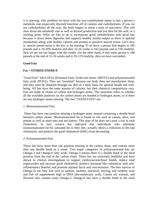it is starving. One problem we have with the low-carbohydrate phase is that a person's metabolic rate (especially thyroid) functions off of calories and carbohydrates. If you cut out carbohydrates all the way, the body begins to sense a state of starvation. This will slow down the metabolic rate as well as thyroid production and you then hit the wall, or a sticking point. What we like to do is incorporate good carbohydrates with good fats because it slows down digestion and supports healthy insulin output so there is optimal metabolism along with healthy calories and protein to preserve muscle tissue. Let's face it; muscle preservation is the key to fat burning. If we have a person that begins at 185 pounds and is 19-20% bodyfat and after 12-16 weeks is 165 pounds and at 15% bodyfat, then we are not too happy with the results. On the other hand, if that same person is 180 pounds at the end of 12-16 weeks and is 10-11% bodyfat, then we have succeeded.

#### **Good Fats**

#### **Fat = STORED ENERGY**.

"Good Fats" AKA EFAs (Essential Fatty Acids) are mono- (MUFA) and polyunsaturated fatty acids (PUFA). They are "essential" because our body does not manufacture them, and they must be obtained through our diet on a daily basis for optimal health and wellbeing. All fats have the same amount of calories, but their chemical compositions vary. Fats are made of chains of carbon and hydrogen atoms. The saturation refers to whether all the available positions on the carbon atoms are bonded to hydrogen atoms, or if there are any hydrogen atoms missing. The two "GOOD FATS" are:

#### *1. Monounsaturated Fats*

 These fats have one position missing a hydrogen atom, instead containing a double bond between carbon atoms. Monounsaturated fat is found in oils such as canola, olive, and peanut as well as most nuts and nut butters. This type of fat does not cause a rise in total cholesterol. In fact, science has indicated that individuals who substitute monounsaturated fat for saturated fat in their diet, actually shows a reduction in the bad cholesterol, and protects the good cholesterol (HDL) from decreasing.

#### *2. Polyunsaturated Fats*

These fats have more than one position missing in the carbon chain, and contain more than one double bond as a result. Two major categories of polyunsaturated fats are Omega-3 and Omega-6 fatty acids. Omega-3 means there is a double bond in the third position from the end of the carbon chain. These fats are extremely healthful and have shown in clinical investigations to support cardiovascular/heart health, reduce total triglycerides and increase good cholesterol, produce hormone-like substances with antiinflammatory benefits and promote optimal focus and concentration. The best sources of Omega-3s are fatty fish such as salmon, sardines, mackerel, herring, and rainbow trout and fish oil supplements high in DHA (docosahexaoic acid). Canola oil, walnuts, and flaxseed also contain some Omega-3. Omega-6 fats have a double bond in the sixth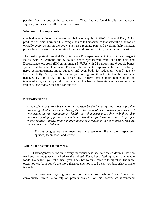position from the end of the carbon chain. These fats are found in oils such as corn, soybean, cottonseed, sunflower, and safflower.

#### **Why are EFA's important?**

Our bodies must ingest a constant and balanced supply of EFA's. Essential Fatty Acids produce beneficial hormone-like compounds called eicosanoids that affect the function of virtually every system in the body. They also regulate pain and swelling, help maintain proper blood pressure and cholesterol levels, and promote fluidity in nerve transmission.

The most important Essential Fatty Acids are Eicosapentaenoic Acid (EPA), an omega-3 PUFA with 20 carbons and 5 double bonds synthesized from linolenic acid and Docosahexaenoic Acid (DHA), an omega-3 PUFA with 22 carbons and 6 double bonds synthesized from linolenic acid. They are the nutrients responsible for cell flexibility, nerve communications, mood support, and even body fat reduction. "Good" fats or Essential Fatty Acids, are the naturally-occurring, traditional fats that haven't been damaged by high heat, refining, processing or have been slightly tampered or not tampered with, such as 'partial hydrogenation'. The best of these kinds of fats are found in fish, nuts, avocados, seeds and various oils.

#### **DIETARY FIBER**

*A type of carbohydrate but cannot be digested by the human gut nor does it provide any energy of which to speak. Among its protective qualities, it helps soften stool and encourages normal eliminations (healthy bowel movements). Fiber rich diets also promote a feeling of fullness, which is very beneficial for those looking to drop a few excess pounds. Finally, fiber has been linked to a reduction in heart attacks, strokes, colon cancer and diabetes.* 

• Fibrous veggies we recommend are the green ones like broccoli, asparagus, spinach, green beans and lettuce.

#### **Whole Food Versus Liquid Meals**

Thermogenesis is the state every individual who has ever dieted desires. How do we keep thermogenesis cranked to the fullest? Easy, keep feeding your body whole foods. Every time you eat a meal, your body has to burn calories to digest it. The more often you eat (to a point), the more thermogenic you are. So can you just drink a shake instead?

We recommend getting most of your meals from whole foods. Sometimes convenience forces us to rely on protein shakes. For this reason, we recommend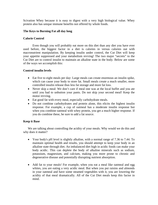Scivation Whey because it is easy to digest with a very high biological value. Whey protein also has unique immune benefits not offered by whole foods.

#### **The Keys to Burning Fat all day long**

#### **Calorie Control**

Even though you will probably eat more on this diet than any diet you have ever used before, the biggest factor in a diet is calories in versus calories out with macronutrient manipulation. By keeping insulin under control, the Cut Diet will keep your appetite suppressed and your metabolism revving! The two major "secrets" to the Cut Diet are to control insulin to maintain an alkaline state in the body. Below are some of the ways we accomplish this:

#### **Control insulin levels**

- Eat five to eight meals per day: Large meals can create enormous an insulin spike, which can cause your body to store fat. Small meals create a much smaller, more controlled insulin release thus less fat storage and more fat loss.
- Never skip a meal: We don't care if meal one was at the local buffet and you ate until you had to unbutton your pants. Do not skip your second meal! Keep the motor revving.
- Eat good fat with every meal, especially carbohydrate meals.
- Do not combine carbohydrates and protein alone, this elicits the highest insulin response. For example, a cup of oatmeal has a moderate insulin response but when you combine oatmeal with whey protein, you get a much higher response. If you do combine these, be sure to add a fat source.

#### **Keep it Base**

We are talking about controlling the acidity of your meals. Why would we do this and why does it matter?

- Your body's pH level is slightly alkaline, with a normal range of 7.36 to 7.44. To maintain optimal health and results, you should attempt to keep your body in an alkaline state through diet. An imbalanced diet high in acidic foods can make your body acidic. This can deplete the body of alkaline minerals such as sodium, potassium, magnesium, and calcium, making you more prone to chronic and degenerative disease and potentially disrupting nutrient absorption.
- Add fat to your meals! For example, when you eat a meal like oatmeal and egg whites, you are eating a very acidic meal. But when you put raisins and almonds in your oatmeal and have some steamed vegetables with it, you are lowering the acidity of that meal dramatically. All of the Cut Diet meals keep this factor in mind.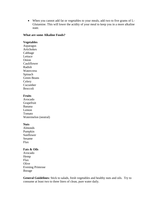• When you cannot add fat or vegetables to your meals, add two to five grams of L-Glutamine. This will lower the acidity of your meal to keep you in a more alkaline state.

#### **What are some Alkaline Foods?**

#### **Vegetables**

Asparagus Artichokes Cabbage Lettuce Onion Cauliflower Radish **Watercress** Spinach Green Beans **Celery** Cucumber Broccoli

#### **Fruits**

Avocado Grapefruit Banana Lemon Tomato Watermelon (neutral)

#### **Nuts**

Almonds Pumpkin Sunflower Sesame Flax

#### **Fats & Oils**

Avocado Hemp Flax **Olive** Evening Primrose Borage

**General Guidelines:** Stick to salads, fresh vegetables and healthy nuts and oils. Try to consume at least two to three liters of clean, pure water daily.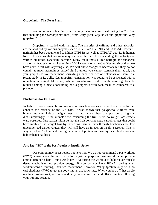#### **Grapefruit—The** *Great* **Fruit**

We recommend obtaining your carbohydrates in every meal during the Cut Diet (not including the carbohydrate meal) from leafy green vegetables and grapefruit. Why grapefruit?

Grapefruit is loaded with naringin. The majority of caffeine and other alkaloids are metabolized by various enzymes such as CYP1A2, CYP2E1 and CYP3A4. However, naringin has been documented to inhibit CYP34A (as well as CYP1A2) activity in human liver. This means that naringin may increase the half life (extending the activity) of various alkaloids, especially caffeine. Many fat burners utilize naringin for enhanced alkaloid effect. We got hooked on in it 10-11 years ago in the Cut Diet and since then, we have never dealt with anything else. We will allow oranges if necessary but they do not contain as much naringin as grapefruit. So unless you cannot stomach them at all, eat your grapefruit! We recommend sprinkling a packet or two of Splenda® on them. In a recent study in La Jolla, CA, grapefruit consumption was found to be associated with a reduction in weight. Moreover, 2-hour post-glucose insulin levels were significantly reduced among subjects consuming half a grapefruit with each meal, as compared to a placebo.

#### **Blueberries for Fat Loss!**

In light of recent research, volume 4 now uses blueberries as a food source to further enhance the efficacy of the Cut Diet. It was shown that polyphenol extracts from blueberries can induce weight loss in rats when they are put on a high-fat diet. Surprisingly, if the animals were consuming the fruit itself, no weight loss effects were observed. One reason might be that the fruit contains extra carbohydrates that could have inhibited the weight loss by increasing insulin. Even through blueberries are low glycemic-load carbohydrates, they will still have an impact on insulin secretion. This is why with the Cut Diet and the high amounts of protein and healthy fats, blueberries can help enhance fat loss!

#### **Just Say "NO" to the Post Workout Insulin Spike**

Our opinion may upset people but here it is. We do not recommend a postworkout (PWO) shake when the activity is for physique purposes. We would rather provide aminos (Branch Chain Amino Acids (BCAA) during the workout to help reduce muscle tissue catabolism and provide energy. If you do not have BCAAs during your workout/cardio training, then we recommend Scivation Whey (protein only with no carbohydrates) PWO to get the body into an anabolic state*.* When you hop off that cardio machine postworkout, get home and eat your next meal around 30-45 minutes following your training session.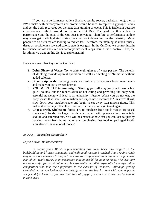If you are a performance athlete (hockey, tennis, soccer, basketball, etc), then a PWO shake with carbohydrates and protein would be ideal to replenish glycogen stores and get the body recovered for the next days training or event. This is irrelevant because a performance athlete would not be on a Cut Diet. The goal for this athlete is performance and the goal of the Cut Diet is physique. Therefore, a performance athlete may even get Carbohydrates during their workout depending on the intensity. Many people we do diets for are looking to reduce fat. Therefore, maintaining as much muscle tissue as possible in a lowered caloric state is our goal. In the Cut Diet, we control insulin to enhance fat loss and even our carbohydrate meal keeps insulin under control. Thus, the last thing we want on this diet is to spike insulin!

Here are some other keys to the Cut Diet:

- **1. Drink Plenty of Water.** Try to drink eight glasses of water per day. The benefits of drinking provide optimal hydration as well as a feeling of "fullness" without added calories.
- **2. Do not skip meals.** Skipping meals can drastically reduce your blood sugar levels and make you crave sweets later on
- **3. YOU MUST EAT to lose weight.** Starving yourself may get you to lose a few quick pounds, but the repercussion of not eating and providing the body with essential nutrients will lead to an unhealthy lifestyle. When you do not eat, the body senses that there is no nutrition and its job now becomes to "Survive". It will slow down your metabolic rate and begin to eat away lean muscle tissue. This makes it extremely difficult to lose body fat once you begin to eat again.
- **4. Choose fresh, wholesome foods.** Try to purchase fresh foods versus processed (packaged) foods. Packaged foods are loaded with preservatives, especially sodium and saturated fats. You will be amazed at how fast you can lose fat just by packing meals from home rather than purchasing fast food or packaged foods. You also will save a lot of money!

#### *BCAAs… the perfect dieting fuel?*

#### *Layne Norton BS Biochemistry*

 *In recent years BCAA supplementation has come back into 'vogue' in the bodybuilding and fitness community and with good reason; Branched Chain Amino Acids may have more research to support their use as a supplement than any other supplement available! While BCAA supplementation may be useful for gaining mass, I believe they are most useful for maintaining muscle mass while on a diet, especially for bodybuilding competitors who take their physiques to the extreme of leanness. Although getting shredded makes you look awesome onstage and on the beach… and with your opposite sex friend (or friends if you are that kind of guy/gal) it can also cause mucho loss of muscle mass.*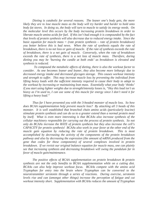*Dieting is catabolic for several reasons. The leaner one's body gets, the more likely they are to lose muscle mass as the body will try harder and harder to hold onto body fat stores. In doing so, the body will turn to muscle to satisfy its energy needs. On the molecular level this occurs by the body increasing protein breakdown in order to liberate muscle amino acids for fuel. If this isn't bad enough it is compounded by the fact that levels of protein synthesis will also decrease due to reduced energy intake. Since the basic equation for muscle mass = (rate protein synthesis – rate of protein breakdown) you better believe this is bad news. When the rate of synthesis equals the rate of breakdown, there is no net loss or gain of muscle. If the rate of synthesis exceeds the rate of breakdown, there is a net gain of muscle. Conversely, when the rate of breakdown exceeds the rate of synthesis, there is a net loss of muscle mass. Therefore, during dieting you may be 'burning the candle at both ends' as breakdown is elevated and synthesis is reduced.* 

 *To compound the metabolic affects of dieting, there is also the workout factor to consider. As one becomes leaner and leaner, they also become more lethargic due to decreased energy intake and decreased glycogen storage. This causes workout intensity and strength to suffer. This may increase muscle loss by preventing the individual from lifting heavy loads with the sufficient intensity required to cause their body to adapt to the workout by increasing or maintaining lean mass. Essentially what your body 'thinks' if you start using lighter weights due to strength/intensity losses is, "Hey this load isn't as heavy as I'm used to, I can use some of this muscle for energy since I don't need it for lifting a heavy load."* 

 *Thus far I have presented you with the 3-headed monster of muscle loss. So how does BCAA supplementation help prevent muscle loss? By attacking all 3 heads of this monster. It is well established that branched chain amino acids (particularly leucine) stimulate protein synthesis and can do so to a greater extend than a normal protein meal by itself. What is even more interesting is that BCAAs also increase synthesis of the cellular machinery responsible for carrying out the process of protein synthesis. So not only do BCAAs increase the RATE of protein synthesis but they also increase the cell's CAPACITY for protein synthesis! BCAAs also work in your favor at the other end of the*  muscle gain equation by reducing the rate of protein breakdown. This is most *accomplished by decreasing the activity of the components of the protein breakdown pathway and also by decreasing the expression (the amount of mRNA produced from the gene that codes for these components) of several complexes involved in protein breakdown. If we revisit our original balance equation for muscle mass, one can plainly see that increasing synthesis and decreasing breakdown will swing the pendulum far in favor of muscle gain/maintenance.* 

 *The positive effects of BCAA supplementation on protein breakdown & protein synthesis are not the only benefits to BCAA supplementation while on a cutting diet. BCAAs can also help improve workout focus. BCAAs compete with the amino acid Tryptophan for entry into the brain where Tryptophan can be converted to the neurotransmitter serotonin through a series of reactions. During exercise, serotonin levels rise and can (amongst other things) increase the perception of fatigue and cut workout intensity short. Supplementation with BCAAs reduces the amount of Tryptophan*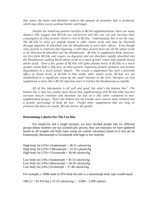*that enters the brain and therefore reduces the amount of serotonin that is produced, which may allow you to workout harder and longer.* 

 *Despite the numerous positive benefits to BCAA supplementation, there are many skeptics who suggest that BCAAs are overpriced and that one can just increase their consumption of whey protein which is rich in BCAAs. Unfortunately this is not the case. The BCAAs in whey are peptide bound to other amino acids and must be liberated through digestion & absorbed into the bloodstream to exert their effects. Even though whey protein is relatively fast digesting, it still takes several hours for all the amino acids to be liberated & absorbed into the bloodstream. BCAAs in supplement form, however, are free form BCAAs and require no digestion and are therefore rapidly absorbed into the bloodstream, spiking blood amino acids to a much greater extent than peptide bound amino acids. Even a few grams of BCAAs will spike plasma levels of BCAAs to a much greater extent than a 30g dose of whey protein, impacting protein synthesis and protein degradation to a much greater degree. The reason a supplement has such a powerful effect on blood levels of BCAAs is that unlike other amino acids, BCAAs are not metabolized to a significant extent by the small intestine or the liver, therefore an oral supplement is more like a BCAA injection since it reaches the bloodstream so rapidly.* 

 *All of this information is all well and good, but what's the bottom line? The bottom line is that new studies have shown that supplementing with BCAAs (like leucine) increase muscle retention and maximize fat loss on a diet when compared to nonsupplemented groups. That's the bottom line my friends, more muscle mass retained and a greater percentage of body fat lost. Forget other supplements that are long on promises but short on results, BCAAs deliver the goods!* 

#### **Determining Calories For The Cut Diet**

For simplicity and a rough estimate, we have divided people into six different groups (these numbers are not scientifically proven, they are estimates we have gathered based on all weights and body types using our calorie calculator) based on if you are an Endomorph, Mesomorph or Ectomorph with high or low bodyfat.

High body fat  $(15\% +)$  Endomorph = 28-31 calories/kg High body fat  $(15\% +)$  Mesomorph = 32-35 calories/kg High body fat  $(15\% +)$  Ectomorph = 36-40 calories/kg

Low body fat  $(14\%)$ - Endomorph = 30-33 calories/kg Low body fat  $(14\%)$  Mesomorph = 34-36 calories/kg Low body fat  $(14\%)$ - Ectomorph = 37-40 calories/kg

For example, a 180lb male at 22% body fat who is a mesomorph body type would equal:

 $180/2.2 = 81.819$  Kg x 32-35 calories/kg =  $-2,600 - 2,900$  calories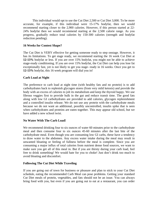This individual would opt to use the Cut Diet 2,500 or Cut Diet 3,000. To be more accurate, for example, if this individual were 15-17% bodyfat, then we would recommend starting closer to the 2,900 calories. However, if this person started at 22- 24% bodyfat then we would recommend starting at the 2,500 calorie range. As you progress, gradually reduce total calories by 150-300 calories (strength and bodyfat reduction pending).

#### **16 Weeks for Contest Shape?**

The Cut Diet is VERY effective for getting someone ready to step onstage. However, it has its limitations. To get stage ready, we recommend starting the 16 week Cut Diet at **12-13%** bodyfat or less. If you are over 15% bodyfat, you might not be able to achieve stage-ready conditioning. If you are over 15% bodyfat, the Cut Diet can help you lose fat exceptionally fast, yet is not likely to get you stage- ready in 16 weeks. Once you get to **12-13%** bodyfat, this 16 week program will dial you in!

#### **Carb Load at Night**

The preference to carb load at night time (with healthy fats and no protein) is to add carbohydrates back to replenish glycogen stores (from very mild ketosis) and provide the body with an excess of calories to jolt its metabolism and keep the thyroid happy. We use fibrous veggies first to provide bulk in the gut and reduce transit time. The good fats along with low GI carbohydrates are provided to add calories, glycogen replenishment and a controlled insulin release. We do not use any protein with the carbohydrate meals because we do not want an additional, possibly uncontrolled, insulin spike that is seen when carbohydrates and proteins are eaten together. This may appear old school, but we have added a new school twist.

#### **No Water With The Carb Load!**

We recommend drinking four to six ounces of water 60 minutes prior to the carbohydrate meal and then consume four to six ounces 45-60 minutes after the last bite of the carbohydrate meal. Even though you are consuming low GI carbs, these have a tendency to draw water to the abdomen. Any excess water intake during the meal may result in unwanted bloating or feeling of fullness before the meal is complete. Since you are consuming a major influx of total calories from nutrient dense food sources, we want to make sure you get all of this meal in. But if you are thirsty during your carb load, feel free to drink something! We would hate for you to choke! Just don't drink too much to avoid bloating and discomfort.

#### **Following The Cut Diet While Traveling**

If you are going out of town for business or pleasure and plan to stick to your Cut Diet schedule, eating the recommended Carb Meal can pose problems. Getting your standard Cut Diet meals of protein, vegetables, and fats should not be an issue. You can always bring food with you, but even if you are going out to eat at a restaurant, you can order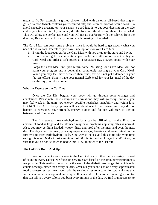meals to fit. For example, a grilled chicken salad with an olive oil-based dressing or grilled salmon (which contains your required fats) and steamed broccoli would work. To avoid excessive dressing on your salads, a good idea is to get your dressing on the side and as you take a bite of your salad, dip the fork into the dressing, then into the salad. This will allow the perfect taste and you will not go overboard with the calories from the dressing. Restaurants will usually put too much dressing in the salad.

The Carb Meal can pose some problems since it would be hard to get exactly what you need at a restaurant. Therefore, you have three options for your Carb Meal:

- 1. Bring the food required for the Carb Meal with you or go to the store and buy it.
- 2. If not preparing for a competition, you could be a little more lenient with your Carb Meal and order a carb source at a restaurant (i.e. a sweet potato with your meal).
- 3. Forgo the Carb Meal until you return home. "Missing" one Carb Meal will not harm your progress and is better than completely messing up your Carb Meal. While you may feel more depleted than usual, this will not put a damper in your fat loss efforts. Simply have your normal Carb Meal for your last meal of the day on the day you return home.

#### **What to Expect on the Cut Diet**

Once the Cut Diet begins, your body will go through some changes and adaptations. Please note these changes are normal and they will go away. Initially, you may feel weak in the gym, low energy, possible headaches, irritability and weight loss. DO NOT FREAK. The symptoms will last about one to two weeks and they do not happen to everyone. Your strength, energy, pumps and fat loss will start to kick-in between week four to six.

The first two to three carbohydrate loads can be difficult to handle. First, the amount of food is large and the stomach may have problems adjusting. This is normal. Also, you may get light-headed, woozy, dizzy and tired after the meal and even the next day. The day after this meal, you may experience gas, bloating and water retention the first two to three carbohydrate loads. One way to help avoid this is to take your time eating this meal. Make it last a minimum of 30 minutes and no longer than 45. Also, be sure that you do not lie down to bed within 45-60 minutes of the last bite.

#### **The Calories Don't Add Up!**

We don't count every calorie in the Cut Diet or any other diet we design. Instead of counting every calorie, we focus on serving sizes based on the amounts/measurements we provide. This method began with the use of the diabetic exchange list which only counts servings rather than every calorie. Over our years and use of a very sophisticated food processor system, we have made the serving sizes to account for total calories that we believe to be most optimal and very well balanced. Unless you are wearing a monitor that can tell you every calorie you burn every minute of the day, we find it unnecessary to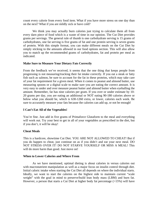count every calorie from every food item. What if you have more stress on one day than on the next? What if you are mildly sick or have cold?

We think you may actually burn calories just trying to calculate them all from every darn piece of food which is a waste of time in our opinion. The Cut Diet provides grams per servings. The general rule of thumb is one carbohydrate serving is 15 grams of carbohydrates, one fat serving is five grams of fat and one protein serving is seven grams of protein. With this simple format, you can make different meals on the Cut Diet by simply sticking to the amounts allowed in our food options section. This will also allow you to match up the recommended grams of carbohydrates, fat and protein per meal as indicated.

#### **Make Sure to Measure Your Dietary Fats Correctly**

From the feedback we've received, it seems that the one thing that keeps people from progressing is not measuring/tracking their fat intake correctly. If you eat a steak or fatty fish such as salmon, be sure to account for the fat in these proteins, which may take care of your fat requirement for a given meal. When it comes to peanut and almond butter, use measuring spoons or a digital scale to make sure you are eating the correct amount. It is very easy to under and over measure peanut butter and almond butter when eyeballing the amount. Remember, fat has nine calories per gram. If you over or under estimate by 10- 20 grams per day, you are eating an additional or NOT eating 90-180 calories above or below what you should be, which is 630-1260 extra, or lower, calories each week. Be sure to accurately measure your fats because the calories can add up, or not be enough!

#### **I Can't Eat All of the Vegetables!**

You're fine. Just add in five grams of Primaforce Glutaform to the meal and everything will work out. Try your best to get in all of your vegetables as prescribed in the diet, but if you don't, it will be okay!

#### **Cheat Meals**

This is a hardcore, showtime Cut Diet. YOU ARE NOT ALLOWED TO CHEAT! But if you do happen to cheat, just continue on as if you didn't and eat your next meal. DO NOT STRESS OVER IT! DO NOT STARVE YOURSELF OR MISS A MEAL! This will do more harm than good. Just move on!

#### **When to Lower Calories and Where From**

As we have mentioned, optimal dieting is about calories in versus calories out with macronutrient manipulation as well as a major focus on insulin control through diet. Initial caloric intake when starting the Cut Diet all depends on where the individual starts. Ideally, we want to start the calories on the highest side to maintain current "scale weight" with the goal in mind to preserve/build lean body mass (LBM) and burn fat. However, a person that starts a Cut Diet at higher body fat percentage  $(>15\%)$  will have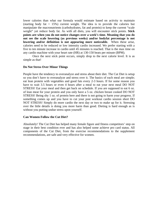lower calories than what our formula would estimate based on activity to maintain (starting body fat  $\langle 15\% \rangle$ ) current weight. The idea is to provide the calories but manipulate the macronutrients (carbohydrates, fat and protein) to keep the current "scale weight" yet reduce body fat. As with all diets, you will encounter stick points. **Stick points are when you do not notice changes over a week's time. Meaning that you do not see the scale lowering (as previous weeks) and/or bodyfat percentage is not lowering and/or definition is not appearing more noticeable.** When these arise, calories need to be reduced or low intensity cardio increased. We prefer starting with a five to ten minute increase in cardio until 45 minutes is reached. That is the max time on any cardio machine with your heart rate (HR) at 130-150 beats per minute (BPM).

Once the next stick point occurs, simply drop to the next calorie level. It is as simple as that!

#### **Do Not Stress Over Minor Things**

People have the tendency to overanalyze and stress about their diet. The Cut Diet is setup so you don't have to overanalyze and stress over it. The basics of each meal are simple; eat lean protein with vegetables and good fats every 2-3 hours. If for some reason you have to wait 3.5 hours or even 4 hours after a meal to eat your next meal DO NOT STRESS! Eat your meal and then get back on schedule. If you are supposed to eat 6 oz. of lean meat for your protein and you only have a 5 oz. chicken breast cooked DO NOT STRESS! Being shy 1 oz. of protein here and there is not going to harm your progress. If something comes up and you have to cut your post workout cardio session short DO NOT STRESS! Simply do more cardio the next day or two to make up for it. Stressing over the little details is doing you more harm than good. Dieting is hard enough as is without you putting undue stress upon yourself.

#### **Can Women Follow the Cut Diet?**

Absolutely! The Cut Diet has helped many female figure and fitness competitors' step on stage in their best condition ever and has also helped some achieve pro card status. All components of the Cut Diet, from the exercise recommendations to the supplement recommendations, are safe and very effective for women.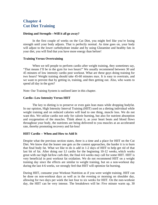## **Chapter 4 Cut Diet Training**

#### **Dieting and Strength—Will it all go away?**

In the first couple of weeks on the Cut Diet, you might feel like you're losing strength until your body adjusts. That is perfectly normal. As time goes on, your body will adjust to the lower carbohydrate intake and by using Glutamine and healthy fats in your diet, you will find that you have more energy than before!

#### **Training Versus Overtraining**

When we tell people to perform cardio after weight training, they sometimes say, "That means I'll be in the gym for two hours!" We usually recommend between 30 and 45 minutes of low intensity cardio post workout. What are these guys doing training for two hours? Weight training should take 45-60 minutes max. It is easy to overtrain, and we want to prevent that by getting in, training, and then getting out. Also, who wants to spend all day in the gym?

Note: Our Training System is outlined later in this chapter.

#### **Cardio--Low Intensity Versus HIIT**

The key to dieting is to preserve or even gain lean mass while dropping bodyfat. In our opinion, High Intensity Interval Training (HIIT) used on a dieting individual while weight training and on reduced calories will lead to one thing, muscle loss. We do not want this. We utilize cardio not only for calorie burning, but also for nutrient absorption and oxygenation of the muscles. Think about it, as your heart beats and blood flows throughout your body, the nutrients are being delivered to you muscles at an accelerated rate, thereby promoting recovery and fat-loss!

#### **HIIT Cardio -- When and How to Add It**

Despite what the previous section states, there is a time and a place for HIIT on the Cut Diet. We know that the leaner one gets as the contest approaches, the harder it is to burn that final body fat. What we like to do is add in 1-2 days of HIIT to help get rid of that last bit of fat. After doing our LI cardio for the beginning 10-12 weeks, which works great with our high fat/low carb diet, the final 4-6 weeks may call for some HIIT. HIIT is very beneficial in post workout fat oxidation. We do not recommend HIIT on a weight training day since the effects are similar to weight training, but on a non-workout day during the last 4-6 weeks, we strongly feel that HIIT will optimize fat burning.

During HIIT, consume your Workout Nutrition as if you were weight training. HIIT can be done on non-workout days as well as in the evening or morning on shoulder day, allowing for two days per week the last four to six weeks for HIIT. On the non-workout day, the HIIT can be very intense. The breakdown will be: Five minute warm up, 30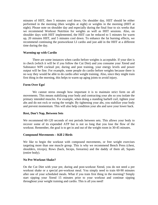minutes of HIIT, then 5 minutes cool down. On shoulder day, HIIT should be either performed in the morning (then weights at night) or weights in the morning (HIIT at night). Please note on shoulder day and especially during the final four to six weeks that we recommend Workout Nutrition for weights as well as HIIT sessions. Also, on shoulder days with HIIT implemented, the HIIT can be reduced to 5 minutes for warm up, 20 minutes HIIT, and 5 minutes cool down. To enhance the fat burning effects, we recommend continuing the postworkout LI cardio and just add in the HIIT at a different time during the day.

#### **Warming up with Cardio**

There are some instances when cardio before weights is acceptable. If your diet is in check (which it will be if you follow the Cut Diet) and you consume your Xtend and Substance WPI cocktail pre, during and post training, your energy levels and power output will be fine. For example, some people do cardio before weights because there is no way they would be able to do cardio after weight training. Also, since they might train first thing in the morning, this helps to warm up aging joints to avoid injury.

#### **Form Over Ego!**

We cannot stress enough how important it is to maintain strict form on all movements. This means stabilizing your body and contracting your abs so you isolate the primary intended muscles. For example, when doing a standing barbell curl, tighten your abs and do not rock or swing the weight. By tightening your abs, you stabilize your body and prevent momentum. This will also help condition your abs and save your lower back.

#### **Rest, Don't Nap, Between Sets**

We recommend 60-120 seconds of rest periods between sets. This allows your body to recover some of its expended ATP but is not so long that you lose the flow of the workout. Remember, the goal is to get in and out of the weight room in 30-45 minutes.

#### **Compound Movements – Kill 2 Birds**

We like to begin the workout with compound movements, or free weight exercises targeting more than one muscle group. This is why we recommend Bench Press (chest, shoulders, triceps), Rows (back, biceps, forearms) and the daddy of them all, Squats (entire body).

#### **No Pre-Workout Shake?**

On the Cut Diet with your pre, during and post-workout Xtend, you do not need a pre workout shake or a special pre-workout meal. You simply need to train 60-90 minutes after one of your scheduled meals. What if you train first thing in the morning? Simply start sipping your Xtend 15 minutes prior to your workout and continue sipping throughout your weight training and cardio. This is all you need!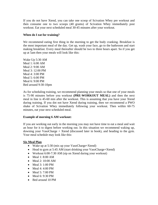If you do not have Xtend, you can take one scoop of Scivation Whey pre workout and then consume one to two scoops (40 grams) of Scivation Whey immediately post workout. Eat your next scheduled meal 30-45 minutes after your workout.

#### **When do I eat for training?**

We recommend eating first thing in the morning to get the body cranking. Breakfast is the most important meal of the day. Get up, wash your face, go to the bathroom and start making breakfast. Every meal thereafter should be two to three hours apart. So if you get up at 5am then your meals will look like this:

Wake Up 5:30 AM Meal 1: 6:00 AM Meal 2: 9:00 AM Meal 3: 12:00 PM Meal 4: 3:00 PM Meal 5: 6:00 PM Meal 6: 9:00 PM Bed around 9:30-10pm

As for scheduling training, we recommend planning your meals so that one of your meals is 75-90 minutes before you workout **(PRE-WORKOUT MEAL)** and then the next meal in line is 45-60 min after the workout. This is assuming that you have your Xtend during training. If you dot not have Xtend during training, then we recommend a PWO shake of Scivation Whey immediately following your workout. Then within 60-75 minutes, eat your next scheduled meal.

#### **Example of morning 6 AM workout:**

If you are working out early in the morning you may not have time to eat a meal and wait an hour for it to digest before working out. In this situation we recommend waking up, downing your VasoCharge + Xtend (discussed later in book), and heading to the gym. Your meal schedule may look like this:

#### **Six Meal Plan**

- Wake up at 5:30 (mix up your VasoCharge+Xtend)
- Head to gym at 5:45 AM (start drinking your VasoCharge+Xtend)
- Workout 6:00-7:30 AM (sip on Xtend during your workout)
- Meal 1: 8:00 AM
- Meal 2: 10:00 AM
- Meal 3: 1:00 PM
- Meal 4: 4:00 PM
- Meal 5: 7:00 PM
- Meal 6: 9:30 PM
- Bed around 10 PM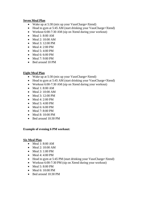#### **Seven Meal Plan**

- Wake up at 5:30 (mix up your VasoCharge+Xtend)
- Head to gym at 5:45 AM (start drinking your VasoCharge+Xtend)
- Workout 6:00-7:30 AM (sip on Xtend during your workout)
- Meal 1: 8:00 AM
- Meal 2: 10:00 AM
- Meal 3: 12:00 PM
- Meal 4: 2:00 PM
- Meal 5: 4:00 PM
- Meal 6: 6:00 PM
- Meal 7: 9:00 PM
- Bed around 10 PM

#### **Eight Meal Plan**

- Wake up at 5:30 (mix up your VasoCharge+Xtend)
- Head to gym at 5:45 AM (start drinking your VasoCharge+Xtend)
- Workout 6:00-7:30 AM (sip on Xtend during your workout)
- Meal 1: 8:00 AM
- Meal 2: 10:00 AM
- Meal 3: 12:00 PM
- Meal 4: 2:00 PM
- Meal  $5: 4:00$  PM
- Meal 6: 6:00 PM
- Meal 7: 8:00 PM
- Meal 8: 10:00 PM
- Bed around 10:30 PM

#### **Example of evening 6 PM workout:**

#### **Six Meal Plan**

- Meal 1: 8:00 AM
- Meal 2: 10:00 AM
- Meal 3: 1:00 PM
- Meal 4: 4:00 PM
- Head to gym at 5:45 PM (start drinking your VasoCharge+Xtend)
- Workout 6:00-7:30 PM (sip on Xtend during your workout)
- Meal 5: 8:00 PM
- Meal  $6:10:00$  PM
- Bed around 10:30 PM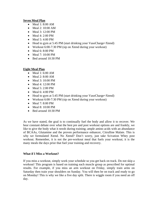#### **Seven Meal Plan**

- Meal 1: 8:00 AM
- Meal 2: 10:00 AM
- Meal 3: 12:00 PM
- Meal 4: 2:00 PM
- Meal 5: 4:00 PM
- Head to gym at 5:45 PM (start drinking your VasoCharge+Xtend)
- Workout 6:00-7:30 PM (sip on Xtend during your workout)
- Meal 6: 8:00 PM
- Meal 7: 10:00 PM
- Bed around 10:30 PM

#### **Eight Meal Plan**

- Meal 1: 6:00 AM
- Meal 2: 8:00 AM
- Meal 3: 10:00 PM
- Meal 4: 12:00 PM
- Meal 5: 2:00 PM
- Meal 6: 4:00 PM
- Head to gym at 5:45 PM (start drinking your VasoCharge+Xtend)
- Workout 6:00-7:30 PM (sip on Xtend during your workout)
- Meal  $7: 8:00$  PM
- Meal 8: 10:00 PM
- Bed around 10:30 PM

As we have stated, the goal is to continually fuel the body and allow it to recover. We hear constant debate over what the best pre and post workout options are and frankly, we like to give the body what it *needs* during training; ample amino acids with an abundance of BCAAs, Glutamine and the proven performance enhancer, Citrulline Malate. This is why we formulated Xtend. No Xtend? Don't worry, just take Scivation Whey post workout. Remember, it is not the pre-workout meal that fuels your workout; it is the many meals the days prior that fuel your training and recovery.

#### **What if I Miss a Workout?**

If you miss a workout, simply work your schedule so you get back on track. Do not skip a workout! This program is based on training each muscle group as prescribed for optimal results. For example, if you miss an arm workout on Friday, simply train arms on Saturday then train your shoulders on Sunday. You will then be on track and ready to go on Monday! This is why we like a five day split. There is wiggle room if you need an off day.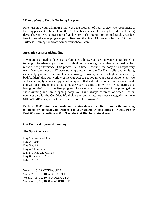#### **I Don't Want to Do this Training Program!**

Fine, just stop your whining! Simply use the program of your choice. We recommend a five day per week split while on the Cut Diet because we like doing LI cardio on training days. The Cut Diet is meant for a five day per week program for optimal results. But feel free to use whatever program you'd like! Another GREAT program for the Cut Diet is TriPhase Training found at www.scivationbooks.com.

#### **Strength Versus Bodybuilding**

If you are a strength athlete or a performance athlete, you need movements performed in training to translate to your sport. Bodybuilding is about growing deeply defined, etched muscle, not performance. This process takes time. However, the body also adapts very well. We recommend a 17 week training program for the Cut Diet (split routine hitting each body part once per week and allowing recovery, which is highly notarized by bodybuilders) that will work *with* the Cut Diet to get you in your best condition ever! We will use a highly advanced pyramiding system that will take into account volume, load, and will also provide change to stimulate your muscles to grow even while dieting and losing bodyfat! This is the first program of its kind and is guaranteed to help you get the show-winning and jaw dropping body you have always dreamed of when used in conjunction with the Cut Diet. We divide the routine into four week categories and one SHOWTIME week, so 17 total weeks. Here is the program!

**Perform 30-45 minutes of cardio on training days either first thing in the morning on an empty stomach with Dialene 4 in your system while sipping on Xtend, Pre or Post Workout. Cardio is a MUST on the Cut Diet for optimal results!** 

**Cut Diet Peak Pyramid Training** 

#### **The Spilt Overview**

Day 1: Chest and Abs Day 2: Back Day 3: OFF Day 4: Shoulders Day 5: Arms and Calves Day 6: Legs and Abs Day 7: OFF

Week 1: 15, 12 WORKOUT A Week 2: 15, 12, 10 WORKOUT B Week 3: 15, 12, 10, 8 WORKOUT A Week 4: 15, 12, 10, 8, 6 WORKOUT B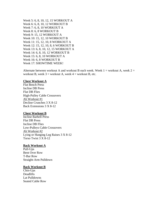Week 5: 6, 8, 10, 12, 15 WORKOUT A Week 6: 6, 8, 10, 12 WORKOUT B Week 7: 6, 8, 10 WORKOUT A Week 8: 6, 8 WORKOUT B Week 9: 15, 12 WORKOUT A Week 10: 15, 12, 10 WORKOUT B Week 11: 15, 12, 10, 8 WORKOUT A Week 12: 15, 12, 10, 8, 6 WORKOUT B Week 13: 6, 8, 10, 12, 15 WORKOUT A Week 14: 6, 8, 10, 12 WORKOUT B Week 15: 6, 8, 10 WORKOUT A Week 16: 6, 8 WORKOUT B Week 17: SHOWTIME WEEK!

Alternate between workout A and workout B each week. Week  $1 =$  workout A, week  $2 =$ workout B, week  $3 =$  workout A, week  $4 =$  workout B, etc.

#### **Chest Workout A**

Flat Bench Press Incline DB Press Flat DB Flies High-Pulley Cable Crossovers Ab Workout #1 Decline Crunches 3 X 8-12 Back Extensions 3 X 8-12

#### **Chest Workout B**

Incline Barbell Press Flat DB Press Incline DB Flies Low-Pulleys Cable Crossovers Ab Workout #2 Lying or Hanging Leg Raises 3 X 8-12 Torso Twist 3 X 8-12

#### **Back Workout A**

Pull-Ups Bent Over Row T-Bar Row Straight-Arm Pulldown

#### **Back Workout B**

Chin-Ups **Deadlifts** Lat Pulldowns Seated Cable Row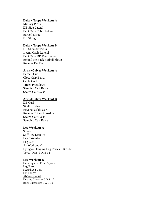#### **Delts + Traps Workout A**

Military Press DB Side Lateral Bent Over Cable Lateral Barbell Shrug DB Shrug

#### **Delts + Traps Workout B**

DB Shoulder Press 1-Arm Cable Lateral Bent Over DB Rear Lateral Behind the Back Barbell Shrug Reverse Pec Dec

#### **Arms+Calves Workout A**

Barbell Curl Close Grip Bench Cable Curl Tricep Pressdown Standing Calf Raise Seated Calf Raise

#### **Arms+Calves Workout B**

DB Curl Skull Crusher Reverse Cable Curl Reverse Tricep Pressdown Seated Calf Raise Standing Calf Raise

#### **Leg Workout A**

**Squats** Stiff Leg Deadlift Leg Extension Leg Curl Ab Workout #2 Lying or Hanging Leg Raises 3 X 8-12 Torso Twist 3 X 8-12

#### **Leg Workout B**

Hack Squat or Front Squats Leg Press Seated Leg Curl DB Lunges Ab Workout #1 Decline Crunches 3 X 8-12 Back Extensions 3 X 8-12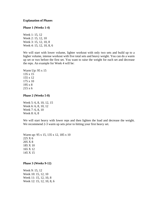#### **Explanation of Phases**

#### **Phase 1 (Weeks 1-4)**

Week 1: 15, 12 Week 2: 15, 12, 10 Week 3: 15, 12, 10, 8 Week 4: 15, 12, 10, 8, 6

We will start with lower volume, lighter workout with only two sets and build up to a higher volume, intense workout with five total sets and heavy weight. You can do a warm up set or two before the first set. You want to raise the weight for each set and decrease the reps. An example for Week 4 will be:

Warm Up: 95 x 15 135 x 15 155 x 12 175 x 10 195 x 8 215 x 6

**Phase 2 (Weeks 5-8)** 

Week 5: 6, 8, 10, 12, 15 Week 6: 6, 8, 10, 12 Week 7: 6, 8, 10 Week 8: 6, 8

We will start heavy with lower reps and then lighten the load and decrease the weight. We recommend 2-3 warm up sets prior to hitting your first heavy set.

Warm up:  $95 \times 15$ ,  $135 \times 12$ ,  $185 \times 10$ 225 X 6 205 X 8 185 X 10 165 X 12 145 X 15

**Phase 3 (Weeks 9-12)** 

Week 9: 15, 12 Week 10: 15, 12, 10 Week 11: 15, 12, 10, 8 Week 12: 15, 12, 10, 8, 6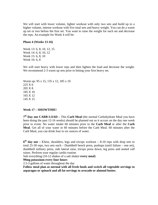We will start with lower volume, lighter workout with only two sets and build up to a higher volume, intense workout with five total sets and heavy weight. You can do a warm up set or two before the first set. You want to raise the weight for each set and decrease the reps. An example for Week 4 will be:

#### **Phase 4 (Weeks 13-16)**

Week 13: 6, 8, 10, 12, 15 Week 14: 6, 8, 10, 12 Week 15: 6, 8, 10 Week 16: 6, 8

We will start heavy with lower reps and then lighten the load and decrease the weight. We recommend 2-3 warm up sets prior to hitting your first heavy set.

Warm up: 95 x 15, 135 x 12, 185 x 10 225 X 6 205 X 8 185 X 10 165 X 12 145 X 15

#### **Week 17 – SHOWTIME!**

**7th Day out CARB LOAD –** This **Carb Meal** (the normal Carbohydrate Meal you have been doing the past 12-16 weeks) should be planned out so it occurs on the day one week prior to event. No water intake 60 minutes prior to the **Carb Meal** or after the **Carb Meal**. Get all of your water in 60 minutes before the Carb Meal. 60 minutes after the Carb Meal, you can drink four to six ounces of water.

**6th day out – C**hest, shoulders, legs and triceps workout – 8-10 reps with drop sets to total 25-30 reps, two sets each – Dumbbell bench press, pushups (until failure – one set), dumbbell military press, side lateral raise, triceps press down, leg press and seated calf raises. Perform your regular cardio routine.

Salt everything (10-12 shakes of a salt shaker **every meal**)

**99mg potassium every four hours** 

2.5-3 gallons of water throughout the day

**Follow meal plan as normal with all fresh foods and switch all vegetable servings to asparagus or spinach and all fat servings to avocado or almond butter.**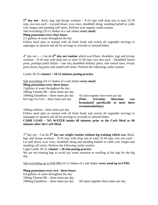5<sup>th</sup> day out - Back, legs and biceps workout – 8-10 reps with drop sets to total 25-30 reps, two sets each – Lat pull down, Low rows, dumbbell shrug, standing barbell or cable curl, lunges and standing calf raises. Perform your regular cardio routine.

Salt everything (10-12 shakes of a salt shaker **every meal**)

#### **99mg potassium every four hours**

2.5 gallons of water throughout the day

Follow meal plan as normal with all fresh foods and switch all vegetable servings to asparagus or spinach and all fat servings to avocado or almond butter.

 $4<sup>th</sup>$  day out  $-$  - Can do  $6<sup>th</sup>$  day out routine which was Chest, shoulders, legs and triceps workout – 8-10 reps with drop sets to total 25-30 reps, two sets each – Dumbbell bench press, pushups (until failure – one set), dumbbell military press, side lateral raise, triceps press down, leg press and seated calf raises. Perform the following cardio routine:

#### Cardio 30-35 m**inutes + 10-15 minutes posing practice**

Salt everything (10-12 shakes of a salt shaker **every meal**)

#### **99mg potassium every three hours**

2 gallons of water throughout the day

100mg Vitamin B6 – three times per day

1000mg Dandelion – three times per day All taken together three times per day

625 mg Uva Ursi – three times per day **(Note- Scivation Showtime was formulated specifically to meet these recommendations)** 

100mg caffeine – three times per day

Follow meal plan as normal with all fresh foods and switch all vegetable servings to asparagus or spinach and all fat servings to avocado or almond butter.

**CARB LOAD – NO WATER intake 60 minutes prior to the Carb Meal or 60 minutes after the Carb Meal.** 

3rd day out – Can do **5th day out weight routine without leg training which was:** Back, legs and biceps workout  $-8-10$  reps with drop sets to total 25-30 reps, two sets each  $-$ Lat pull down, Low rows, dumbbell shrug and standing barbell or cable curl, lunges and standing calf raises. Perform the following cardio routine:

#### Light Cardio 30-35 m**inutes + 20 min posing practice**

We are not training legs to avoid any water retention or swelling of the legs for the big day.

Salt everything up to 6:00 PM (10-12 shakes of a salt shaker **every meal up to 6 PM**)

#### **99mg potassium every two - three hours**

**1.5** gallons of water throughout the day 100mg Vitamin B6 – three times per day

1000mg Dandelion – three times per day All taken together three times per day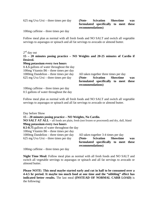625 mg Uva Ursi – three times per day **(Note- Scivation Showtime was formulated specifically to meet these recommendations)** 

100mg caffeine – three times per day

Follow meal plan as normal with all fresh foods and NO SALT and switch all vegetable servings to asparagus or spinach and all fat servings to avocado or almond butter.

 $2<sup>nd</sup>$  day out

**15 – 20 minutes posing practice – NO Weights and 20-25 minutes of Cardio if Desired.**

#### **99mg potassium every two hours**

**1-1.5** gallons of water throughout the day 100mg Vitamin B6 – three times per day 1000mg Dandelion – three times per day All taken together three times per day

100mg caffeine – three times per day 0.5 gallons of water throughout the day

625 mg Uva Ursi – three times per day **(Note- Scivation Showtime was formulated specifically to meet these recommendations)** 

Follow meal plan as normal with all fresh foods and NO SALT and switch all vegetable servings to asparagus or spinach and all fat servings to avocado or almond butter.

Day before Show **15 – 20 minutes posing practice – NO Weights, No Cardio. NO SALT AT ALL** – all foods are plain, fresh (not frozen or processed) and dry, dull, bland **99mg potassium every two hours 0.5-0.75** gallons of water throughout the day 100mg Vitamin B6 – three times per day 1000mg Dandelion – three times per day All taken together 3-4 times per day 625 mg Uva Ursi – three times per day **(Note- Scivation Showtime was formulated specifically to meet these recommendations)** 

100mg caffeine – three times per day

**Night Time Meal:** Follow meal plan as normal with all fresh foods and NO SALT and switch all vegetable servings to asparagus or spinach and all fat servings to avocado or almond butter.

**Please NOTE: This meal maybe started early and cut in half to be consumed over a 4-4.5 hr period. It maybe too much food at one time and the "nibbling" effect has indicated better results.** The last meal **(INSTEAD OF NORMAL CARB LOAD)** is the following: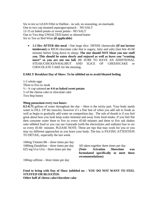Six to ten oz LEAN Fillet or Halibut - no salt, no seasoning, no marinade. One to two cup steamed asparagus/spinach - NO SALT 12-15 oz baked potato or sweet potato - NO SALT One to Two tbsp UNSALTED butter or almond butter Six to Ten oz Red Wine **(if applicable)**

• **1.5 Hrs AFTER this meal** - One large slice DENSE cheesecake **(If not lactose intolerant)** or RICH chocolate cake that is sugary, fatty and salty (last bite 45-60 minutes before lying down to sleep). **The size should NOT bloat you nor stuff you. This should be eaten slowly and enjoyed as well as leave you "wanting more" so you are not too full.** BE SURE TO HAVE AN ADDITIONAL STEAK/CHICKEN/HALIBUT AND SLICE OF CHEESECAKE or CHOCOLATE CAKE for the morning.

#### **EARLY Breakfast Day of Show: To be nibbled on to avoid bloated feeling**

1-2 whole eggs Three to five oz steak ½ - ¾ cup oatmeal **or 4-6 oz baked sweet potato** ½ of the cheese cake or chocolate cake Two tbsp honey

#### **99mg potassium every two hours**

**0.5-0.75** gallons of water throughout the day – Here is the tricky part. Your body needs water to FILL UP the muscles; however it's a fine line of when you add salt to foods as well as begin to gradually add water on competition day. The rule of thumb is if you feel great about how you look keep water minimal and away from food intake. If you feel flat then consume water three to five oz every 45-60 minutes and three to five salt shakes onto nibbled food or you can use Gatorade (with the electrolytes and sodium) four to six oz every 45-60 minutes. PLEASE NOTE: These are tips that may work for you or you may try different approaches as you learn your body. The key is PAYING ATTENTION TO DETAIL, especially the last week.

| 100 mg Vitamin B $6$ – three times per day      |                                        |                    |                                       |     |
|-------------------------------------------------|----------------------------------------|--------------------|---------------------------------------|-----|
| 1000 $mg$ Dandelion – three times per day       | All taken together three times per day |                    |                                       |     |
| $625 \text{ mg}$ Uva Ursi – three times per day | (Note-                                 | Scivation Showtime |                                       | was |
|                                                 |                                        |                    | formulated specifically to meet these |     |
|                                                 | recommendations)                       |                    |                                       |     |

100mg caffeine – three times per day

#### **Food to bring with Day of Show (nibbled on – YOU DO NOT WANT TO FEEL STUFFED OR BLOATED: Other half of cheese cake/chocolate cake**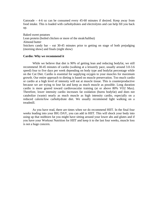Gatorade  $-4$ -6 oz can be consumed every 45-60 minutes if desired. Keep away from food intake. This is loaded with carbohydrates and electrolytes and can help fill you back up.

Baked sweet potatoes Lean protein (boiled chicken or more of the steak/halibut) Almond butter Snickers candy bar – eat 30-45 minutes prior to getting on stage of both prejudging (morning show) and finals (night show)

#### **Cardio: Why we recommend it**

While we believe that diet is 90% of getting lean and reducing bodyfat, we still recommend 30-45 minutes of cardio (walking at a leisurely pace, usually around 3.0-3.6 speed) four to five days per week depending on body type and bodyfat percentage while on the Cut Diet. Cardio is essential for supplying oxygen to your muscles for maximum growth. Our entire approach to dieting is based on muscle preservation. Too much cardio or cardio at a high level of intensity will eat at muscle tissue. This is counterproductive because we are trying to lose fat and keep as much muscle as possible. Long duration cardio is more geared toward cardiovascular training (at or above 80% VO2 Max). Therefore, lower intensity cardio increases fat oxidation (burns bodyfat) and does not catabolize (waste) nearly as much muscle as high intensity cardio, especially on a reduced calorie/low carbohydrate diet. We usually recommend light walking on a treadmill.

As you have read, there are times when we do recommend HIIT. In the final four weeks leading into your BIG DAY, you can add in HIIT. This will shock your body into using up that stubborn fat you might have sitting around your lower abs and glutes and if you have your Workout Nutrition for HIIT and keep it to the last four weeks, muscle loss is not a huge concern.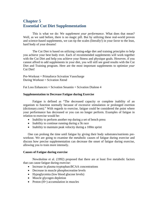## **Chapter 5 Essential Cut Diet Supplementation**

This is what we do: We *supplement your performance*. What does that mean? Well, as we said before, there is no magic pill. But by utilizing these real-world proven and science-based supplements, we can tip the scales (literally!) in your favor to the lean, hard body of your dreams!

The Cut Diet is based on utilizing cutting-edge diet and training principles to help you achieve your best body ever. Each of recommended supplements will work together with the Cut Diet and help you achieve your fitness and physique goals. However, if you cannot afford to add supplements in your diet, you will still see good results with the Cut Diet and Training program. Here are the most important supplements to optimize *your*  Cut Diet!

Pre-Workout = Primaforce Scivation Vasocharge During Workout  $=$  Scivation Xtend

Fat Loss Enhancers = Scivation Sesamin + Scivation Dialene 4

#### **Supplementation to Decrease Fatigue during Exercise**

Fatigue is defined as "The decreased capacity or complete inability of an organism to function normally because of excessive stimulation or prolonged exertion (dictionary.com)." With regards to exercise, fatigue could be considered the point where your performance has decreased or you can no longer perform. Examples of fatigue in relation to exercise would be:

- Inability to perform another rep during a set of bench press
- Inability to continue running during a 5k race
- Inability to maintain peak velocity during a 100m sprint

One can prolong the time until fatigue by giving their body substrates/nutrients preworkout. We are going to examine the metabolic causes of fatigue during exercise and discuss how precise supplementation can decrease the onset of fatigue during exercise, allowing you to train more intensely.

#### **Causes of Fatigue during exercise**

 Newsholme et al. (1992) proposed that there are at least five metabolic factors that can cause fatigue during exercise:

- Increase in plasma tryptophan: BCAA concentrations
- Decrease in muscle phosphocreatine levels
- Hypoglycemia (low blood glucose levels)
- Muscle glycogen depletion
- Proton (H+) accumulation in muscles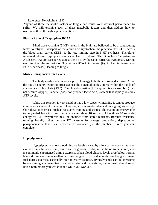#### Reference: Newsholme, 1992

Anyone of these metabolic factors of fatigue can cause your workout performance to suffer. We will examine each of these metabolic factors and then address how to overcome them through supplementation.

#### **Plasma Ratio of Tryptophan:BCAA**

 5-hydroxytryptamine (5-HT) levels in the brain are believed to be a contributing factor to fatigue. Transport of the amino acid tryptophan, the precursor for 5-HT, across the blood brain barrier (BBB) is the rate limiting step in 5-HT synthesis. Therefore, increased plasma tryptophan levels can lead to fatigue. The Branched-Chain-Amino-Acids (BCAA) are transported across the BBB by the same carrier as tryptophan. During exercise the plasma ratio of Tryptophan:BCAA increases (tryptophan increases and BCAA decreases), leading to fatigue.

#### **Muscle Phosphocreatine Levels**

 The body needs a continuous supply of energy to both perform and survive. All of the body's energy requiring processes use the potential energy stored within the bonds of adenosince triphosphate (ATP). The phosphocreatine (PCr) system is an anaerobic (does not require oxygen), alactic (does not produce lactic acid) system that rapidly restores ATP levels.

While this reaction is very rapid, it has a low capacity, meaning it cannot produce a tremendous amount of energy. Therefore, it is in greatest demand during high-intensity, short duration exercise, such as resistance training and sprints. The maximum energy able to be yielded from this reaction occurs after about 10 seconds. After those 10 seconds, energy for ATP resynthesis must be obtained from stored nutrients. Because resistance training heavily relies on the PCr system for energy production, depletion of phosphocreatine levels can decrease performance (i.e. the number of reps you can complete).

#### **Hypoglycemia**

 Hypoglycemia is low blood glucose levels caused by a low carbohydrate intake or excessive insulin secretion (insulin causes glucose [carbs] in the blood to be stored) and is commonly experienced during exercise. When blood glucose levels drop below normal levels during exercise one often becomes fatigued. This is due to glucose being a primary fuel during exercise, especially high-intensity exercise. Hypoglycemia can be overcome be consuming adequate dietary carbohydrates and maintaining stable insulin/blood sugar levels both before you workout and while you workout.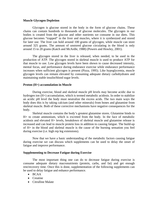#### **Muscle Glycogen Depletion**

Glycogen is glucose stored in the body in the form of glucose chains. These chains can contain hundreds to thousands of glucose molecules. The glycogen in our bodies is created from the glucose and other nutrients we consume in our diets. This glucose becomes "trapped" in the liver and muscles, where it is synthesized and stored for later use. The liver can hold around 100 grams of glycogen, while muscle can store around 325 grams. The amount of unstored glucose circulating in the blood is only around 15 to 20 grams (Katch and McArdle, 1988) (Powers and Howley, 2001).

 The glycogen stored in the liver is released, when needed, to be used in the production of ATP. The glycogen stored in skeletal muscle is used to produce ATP for that muscle to use. Low glycogen levels have been shown to cause decreased intensity, mental focus, and performance during endurance exercise while endurance performance increases when sufficient glycogen is present (Pizza, 1995). Like hypoglycemia, muscle glycogen levels can remain elevated by consuming adequate dietary carbohydrates and maintaining stable insulin/blood sugar levels.

#### **Proton (H+) accumulation in Muscle**

 During exercise, blood and skeletal muscle pH levels may become acidic due to hydrogen ion (H+) accumulation, which is termed metabolic acidosis. In order to stabilize an acidic pH level the body must neutralize the excess acids. The two main ways the body does this is by taking calcium (and other minerals) from bones and glutamine from skeletal muscle. Both of these corrective mechanisms have negative consequences for the body.

 Skeletal muscle contains the body's greatest glutamine stores. Glutamine binds to H+ to create ammonium, which is excreted from the body. In the face of metabolic acidosis and elevated H+ levels, breakdown of skeletal muscle and glutamine release is increased and can lead to muscle protein loss in addition to causing fatigue. The build-up of H+ in the blood and skeletal muscle is the cause of the burning sensation you feel during exercise (i.e. high rep leg extensions).

 Now that we have a basic understanding of the metabolic factors causing fatigue during exercise we can discuss which supplements can be used to delay the onset of fatigue and improve performance.

#### **Supplementing to Decrease Fatigue during Exercise**

 The most important thing one can do to decrease fatigue during exercise is consume adequate dietary macronutrients (protein, carbs, and fat) and get enough rest/recovery time. Once this is done, supplementation of the following supplements can be used to delay fatigue and enhance performance.

- BCAA
- Creatine
- Citrulline Malate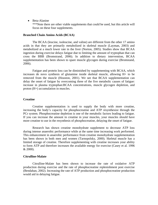• Beta-Alanine

\*\*\*Note there are other viable supplements that could be used, but this article will focus on these four supplements.

#### **Branched Chain Amino Acids (BCAA)**

The BCAA (leucine, isoleucine, and valine) are different from the other 17 amino acids in that they are primarily metabolized in skeletal muscle (Layman, 2003) and metabolized at a much lower rate in the liver (Norton, 2005). Studies show that BCAA ingestion during exercise delays fatigue due to limiting the amount of tryptophan that can cross the BBB (Bromstrand, 2006). In addition to dietary intervention, BCAA supplementation has been shown to spare muscle glycogen during exercise (Bromstand, 2006).

Fatigue and protein loss can be diminished by supplementing with BCAA, which increases de novo synthesis of glutamine inside skeletal muscle, allowing H+ to be removed from the muscle (Houston, 2001). We see that BCAA supplementation can delay the onset of fatigue by overcoming three of the five metabolic causes of fatigue: increase in plasma tryptophan:BCAA concentrations, muscle glycogen depletion, and proton (H+) accumulation in muscles.

#### **Creatine**

Creatine supplementation is used to supply the body with more creatine, increasing the body's capacity for phosphocreatine and ATP resynthesize through the PCr system. Phosphocreatine depletion is one of the metabolic factors leading to fatigue. If you can increase the amount in creatine in your muscles, your muscles should have more creatine to use in the resynthesis of phosphocreatine, delaying the onset of fatigue.

 Research has shown creatine monohydrate supplement to decrease ATP loss during intense anaerobic performance while at the same time increasing work performed. This enhancement in anaerobic performance from creatine monohydrate supplementation has been shown in both men and women (Tarnopolsky, 2000). Skeletal muscle has a limited storage of creatine. Therefore supplementing with creatine increases your ability to form ATP and therefore increases the available energy for exercise (Casey et al. 1996 & 2000).

#### **Citrulline-Malate**

Citrulline-Malate has been shown to increase the rate of oxidative ATP production during exercise and the rate of phosphocreatine replenishment post exercise (Bendahan, 2002). Increasing the rate of ATP production and phosphocreatine production would aid in delaying fatigue.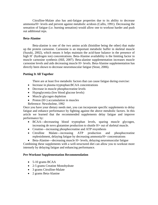Citrulline-Malate also has anti-fatigue properties due to its ability to decrease ammonia/H+ levels and prevent against metabolic acidosis (Callis, 1991). Decreasing the sensation of fatigue (i.e. burning sensation) would allow one to workout harder and push out additional reps.

### **Beta-Alanine**

Beta-alanine is one of the two amino acids (histidine being the other) that make up the protein carnosine. Carnosine is an important metabolic buffer in skeletal muscle (Suzuki, 2002), which means it helps maintain the acid-base balance in the presence of high H<sup>+</sup> (hydrogen ion) concentrations. Beta-Alanine availability is the limiting factor in muscle carnosine synthesis (Hill, 2007). Beta-alanine supplementation increases muscle carnosine levels and aids decreasing muscle H+ levels. Beta-Alanine supplementation has directly been shown to decrease neuromuscular fatigue (Stout, 2006).

### **Putting It All Together**

There are at least five metabolic factors that can cause fatigue during exercise:

- Increase in plasma tryptophan: BCAA concentrations
- Decrease in muscle phosphocreatine levels
- Hypoglycemia (low blood glucose levels)
- Muscle glycogen depletion
- Proton  $(H+)$  accumulation in muscles

Reference: Newsholme, 1992

Once you have your dietary needs met, you can incorporate specific supplements to delay fatigue and enhance performance by fighting against the above metabolic factors. In this article we learned that the recommended supplements delay fatigue and improve performance by:

- BCAA—decreaseing blood tryptophan levels, sparing muscle glycogen, increasing de novo glutamine production to shuttle H+ out of skeletal muscle.
- Creatine—increasing phosphocreatine and ATP resynthesis
- Citrulline Malate—increasing ATP production and phosphocreatine replenishment, delaying fatigue by decreasing ammonia/H+ concentrations
- Beta-Alanine—decreasing muscle H+ levels, delaying neuromuscular fatigue

Combining these supplements with a well-structured diet can allow you to workout more intensely by delaying fatigue and enhancing performance.

## **Pre-Workout Supplementation Recommendation**

- 5-10 grams BCAA
- 2-5 grams Creatine Monohydrate
- 3 grams Citrulline-Malate
- 2 grams Beta-Alanine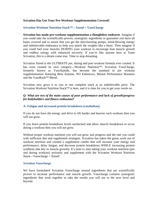### **Scivation Has Got Your Pre-Workout Supplementation Covered!**

### **Scivation Workout Nutrition Stack™—Xtend + VasoCharge**

**Scivation has made pre-workout supplementation a thoughtless endeavor**. Imagine if you could take the scientifically-proven, synergistic ingredients to guarantee you have all bases covered and to assure that you get the skin-bursting pumps, mind-blowing energy and unbelievable endurance to help you attack the weights like a beast. Then imagine if you could fuel your muscles DURING your workout to encourage lean muscle growth and endless energy with enhanced recovery. If you're like anyone here at Team Scivation, this is a dream come true. Time to stop dreaming.

Scivation Xtend is the ULTIMATE pre, during and post workout formula ever created. It has even created its own category—Workout Nutrition™. Scivation VasoCharge, formerly known as VasoXplode, has become the standard in pre workout supplementation featuring Beta Alanine, NO Enhancers, Mental Performance Boosters and the VasoRush™ Blend.

Scivation now gives it to you in one complete stack at an unbelievable price. The Scivation Workout Nutrition Stack<sup>™</sup> is here, and it is time for you to get your swole on.

### *Q: What are two of the main causes of poor performance and lack of growth/progress for bodybuilders and fitness enthusiast?*

#### **A: Fatigue and increased protein breakdown (catabolism).**

If you do not have the energy and drive to lift harder and heavier each workout then you will not grow.

If you leave protein breakdown levels unchecked and allow muscle breakdown to occur during a workout then you will not grow.

Without proper workout nutrition you will not grow and progress and the rate you could with sufficient diet and supplement strategies. Scivation has taken the guess work out of workout nutrition and created a supplement combo that will increase your energy and performance, delay fatigue, and decrease protein breakdown WHILE increasing protein synthesis (the key to muscle growth). It's time to start taking your workout nutrition (pre and during workout) seriously and supplement with the Scivation Workout Nutrition Stack—Vasocharge + Xtend!

#### *Scivation Vasocharge*

We have formulated Scivation Vasocharge around ingredients that are scientifically proven to increase performance and muscle growth. Vasocharge contains synergistic ingredients that work together to take the results you will see to the next level and beyond.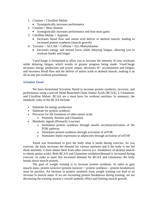- 1. Creatine + Citrulline Malate
	- Synergistically increases performance
- 2. Creatine + Beta-Alanine
	- Synergistically increases performance and lean mass gains
- 3. Citrulline Malate  $+$  Arginine
	- Increases blood flow and amino acid deliver to skeletal muscle, leading to increased protein synthesis (muscle growth)
- 4. Tyrosine + ALCAR + Caffeine + D,L-Phenylalanine
	- Increases energy and mental focus while delaying fatigue, allowing you to workout harder and longer.

VasoCharge is formulated to allow you to increase the intensity of your workouts while delaying fatigue, which results in greater progress being made. VasoCharge increases energy production and power output, decreases H+ accumulation and fatigue, and increases blood flow and the deliver of amino acids to skeletal muscle, making it an all-in-one pre-workout powerhouse.

#### *Scivation Xtend*

We have formulated Scivation Xtend to increase protein synthesis, recovery, and performance using a precise blend Branched-Chain-Amino Acids (BCAA), L-Glutamine, and Citrulline Malate. BCAA are a must have for workout nutrition. In summary, the metabolic roles of the BCAA Include:

- Substrate for energy production
- Substrate for protein synthesis
- Precursor for the formation of other amino acids
	- o Primarily Alanine and Glutamine
- Metabolic signals (Primarily Leucine)
	- o Stimulates protein synthesis through insulin secretion/activation of the PI3K pathway
	- o Stimulates protein synthesis through activation of mTOR
	- o Stimulates leptin expression in adipocytes through activation of mTOR

Xtend was formulated to give the body what it needs during exercise. As you exercise, the body increases the demand for various nutrients and if the body is not fed those nutrients, it must obtain them from other sources (i.e. breakdown of skeletal muscle to obtain amino acids). Both BCAA and Glutamine oxidation/demand is increased during exercise. In order to meet this increased demand for BCAA and Glutamine, the body breaks down muscle protein.

The goal of weight training is to increase protein synthesis. In order to gain muscle mass, protein turnover (protein turnover = protein synthesis – protein breakdown) must be positive. An increase in protein synthesis from weight training can lead to an increase in muscle mass. If we are increasing protein breakdown during training, we are decreasing the training session's overall anabolic effect and limiting muscle growth.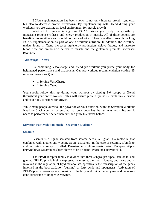BCAA supplementation has been shown to not only increase protein synthesis, but also to decrease protein breakdown. By supplementing with Xtend during your workouts you are creating an ideal environment for muscle growth.

What all this means is ingesting BCAA primes your body for growth by increasing protein synthesis and energy production in muscle. All of these actions are beneficial to an athlete and should not be overlooked. There is endless research backing BCAA supplementation as part of one's workout nutrition. In addition, the citrulline malate found in Xtend increases atp/energy production, delays fatigue, and increase blood flow and amino acid deliver to muscle and the glutamine promotes increased recovery.

#### *Vasocharge + Xtend*

 By combining VasoCharge and Xtend pre-workout you prime your body for heightened performance and anabolism. Our pre-workout recommendation (taking 15 minutes pre-workout) is:

- 1 Serving VasoCharge
- 1 Serving Xtend

You should follow this up during your workout by sipping 2-6 scoops of Xtend throughout your entire workout. This will ensure protein synthesis levels stay elevated and your body is primed for growth.

While many people overlook the power of workout nutrition, with the Scivation Workout Nutrition Stack you can be ensured that your body has the nutrients and substrates it needs to performance better than ever and grow like never before.

#### **Scivation Fat Oxidation Stack—Seasmin + Dialene 4**

#### **Sesamin**

Sesamin is a lignan isolated from sesame seeds. A lignan is a molecule that combines with another entity acting as an "activator." In the case of sesamin, it binds to and activates a receptor called Peroxisome Proliferator-Activator Receptor Alpha (PPARalpha). Sesamin has been shown to be a potent PPARalpha activator [1].

The PPAR receptor family is divided into three subgroups: alpha, beta/delta, and gamma. PPARalpha is highly expressed in muscle, the liver, kidneys, and heart and is involved in the regulation of lipid metabolism, specifically the transcription of the genes involved in the beta-oxidation (burning) of fatty acids and lipogenesis. Activation of PPARalpha increases gene expression of the fatty acid oxidation enzymes and decreases gene expression of lipogenic enzymes.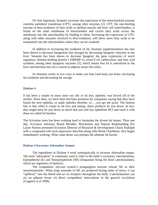Of vital important, Sesamin increases the expression of the mitochondrial enzyme carnitine palmitoyl transferase (CPT), among other enzymes [2]. CPT, the rate-limiting enzyme in beta-oxidation of fatty acids in skeletal muscle and liver cell mitochondria, is found on the outer membrane of mitochondria and carries fatty acids across the membrane into the mitochondria by binding to them. Increasing the expression of CPT, along with other enzymes involved in beta-oxidation, will allow more fatty acids to be transported into the mitochondria where they can be oxidized.

In addition to increasing the oxidation of fat, Sesamin supplementation has also been shown to decrease lipogenesis (fat storage) by decreasing lipogenic enzymes in the liver. Sesamin has been shown to decrease lipogenic the gene expression of sterol regulatory element binding protein-1 (SREBP-1), acetyl-CoA carboxylase, and fatty acid synthase, among other lipogenic enzymes [3], which means less fat is esterifized in the liver and therefore less fat is stored in adipose tissue (fat cells).

So Sesamin works in two ways to make you lean (and keep you lean): increasing fat oxidation and decreasing fat storage.

#### **Dialene 4**

It has been a couple of years since our ally in fat loss, ephedra, was forced off of the market. Since then, we have been fed false promises by companies saying that they have found the next ephedra, or made ephedra obsolete, or…..you get the point. The bottom line is that when it comes to fat loss and energy, these products let you down. In fact, they might have let you down so much that you still buy ephedrine HCl and stack it with these so-called fat burners.

The Scivation team has been working hard to formulate the *dream* fat burner. Then one day, Scivation Advisory Board Member, Biochemist and Natural Bodybuilding Pro Layne Norton presented Scivation Director of Research & Development Chuck Rudolph with a compound with such impressive data that along with Derek Charlebois, they began immediately working. What came about was perhaps the ultimate fat burner.

#### **Dialene 4 Increases Adrenaline Output**

 The ingredients in Dialene 4 work synergistically to increase Adrenaline output. The term "adrenaline" is commonly used to refer to the body's excitatory catecholamine, Epinepherine (E) and Norepinepherine (NE) (Dopamine being the third catecholamine), which are regulators of lipolysis.

The sympathetic nervous system's postganglion neurons release NE as their neurotransmitter. When large amounts of NE are produced during times of stress, it can "spillover" into the blood and act on receptors throughout the body. Catecholamines can act on adipose tissue via direct sympathetic innervations or the general circulation (Coppack et al 1994).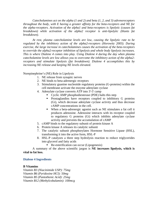*Catecholamines act on the alpha (1 and 2) and beta (1, 2, and 3) adrenoreceptors throughout the body, with E having a greater affinity for the beta-receptors and NE for the alpha-receptors. Activation of the alpha1 and beta-receptors is lipolytic (causes fat breakdown) while activation of the alpha2 receptor is anti-lipolytic (blunts fat breakdown).* 

*At rest, plasma catecholamine levels are low, causing the lipolytic rate to be regulated by the inhibitory action of the alpha2-receptors (Horowitz 2003). During exercise, the large increase in catecholamines causes the activation of the beta-receptors to override the alpha2-receptor inhibition of lipolysis and whole body lipolysis increases. This is where Dialene 4 comes into play. Using Dialene 4 during the day when plasma catecholamine levels are low allows you to overcome the inhibitory action of the alpha2 receptors and stimulate lipolysis (fat breakdown). Dialene 4 accomplishes this by increasing NE release and keeping NE levels elevated.* 

Norepinephrine's (NE) Role in Lipolysis

- 1. NE release from synaptic nerves
- 2. NE binds to beta-adrenergic receptors
- 3. Stimulatory guanine nucleotide regulatory proteins (G-proteins) within the cell membrane activate the enzyme adenylate cyclase
- 4. Adenylate cyclase converts ATP into 3'-5' camp
	- Cyclic AMP phosphodiesterase (PDE) halts this step
	- **Prostaglandins have receptors coupled to inhibitory G proteins** (Gi), which decrease adenylate cyclase activity and thus decrease cAMP concentrations in the cell.
	- When a beta-adrenergic agonist such as NE stimulates a fat cell it produces adenosine. Adenosine interacts with its receptor coupled to regulatory G proteins (Gi) which inhibits adenylate cyclase activity and prevents the accumulation of cAMP
- 5. cAMP binds to the regulatory subunit of protein kinase A
- 6. Protein kinase A releases its catalytic subunit
- 7. The catalytic subunit phosphorylates Hormone Sensitive Lipase (HSL), transforming it into the active form, HSL-P
- 8. HSL-P catalyzes a three step hydrolysis reaction to reduce triglycerides into glycerol and fatty acids
	- Re-esterification can occur (Lipogenesis)

A summary of the above scientific jargon is **NE increases lipolysis, which is vital to fat loss.** 

#### **Dialene 4 Ingredients**

#### **B Vitamins**

*Vitamin B3 (Niacinimide USP): 75mg Vitamin B6 (Pyridoxine HCl): 50mg Vitamin B5 (Pantothenic Acid): 25mg Vitamin B12 (Methylcobalamin): 100mcg*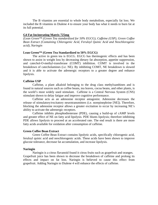The B vitamins are essential to whole body metabolism, especially fat loss. We included the B vitamins in Dialene 4 to ensure your body has what it needs to burn fat at its full potential.

#### **G4 Fat Incinerating Matrix 725mg**

*(Lean Green™ (Green Tea standardized for 50% EGCG), Caffeine (USP), Green Coffee Bean Extract (Containing Chlorogenic Acid, Feruloyl Quinic Acid and Neochlorogenic acid), Naringin* 

#### **Lean Green™ (Green Tea Standardized to 50% EGCG)**

 The active in green tea is EGCG. EGCG has thermogenic effects and has been shown to assist in weight loss by decreasing dietary fat absorption, appetite suppression, and catechol-O-methyl-transferase (COMT) inhibition. COMT is involved in the breakdown of catecholamines (i.e. NE). By inhibiting COMT, NE breakdown is slowed and it is able to activate the adrenergic receptors to a greater degree and enhance lipolysis.

#### **Caffeine USP**

Caffeine, a plant alkaloid belonging to the drug class methylxanthines and is found in natural sources such as coffee beans, tea leaves, cocoa beans, and other plants, is the world's most widely used stimulant. Caffeine is a Central Nervous System (CNS) stimulant shown to delay fatigue and improve cognitive performance.

Caffeine acts as an adenosine receptor antagonist. Adenosine decreases the release of stimulatory/excitatory neurotransmitters (i.e. norepinephrine [NE]). Therefore, blocking the adenosine receptor allows a greater excitation to occur by increasing NE's ability to activate the adrenergic receptors.

Caffeine inhibits phosphodiesterase (PDE), causing a build-up of cAMP levels and greater effect of NE on fatty acid lipolysis. PDE blunts lipolysis; therefore inhibiting PDE allows lipolysis to proceed at an accelerated rate. The end result is there are more fatty acids available for oxidation after consumption of caffeine.

#### **Green Coffee Bean Extract**

Green Coffee Bean Extract contains lipolytic acids, specifically chlorogenic acid, feruloyl quinic acid and neochlorogenic acids. These acids have been shown to improve glucose tolerance, decrease fat accumulation, and increase lipolysis.

#### **Naringin**

Naringin is a citrus flavanoid found it citrus fruits such as grapefruit and oranges. Grapefruit juice has been shown to decrease the breakdown of caffeine and prolong its effects and impact on fat loss. Naringin is believed to cause this effect from grapefruit. Adding Naringin to Dialene 4 will enhance the effects of caffeine.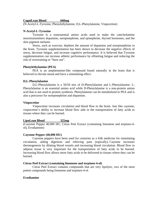#### **CogniLean Blend 660mg**

(N-Acetyl-L-Tyrosine, Phenylethylamine, D,L-Phenylalanine, Vinpocetine)

#### **N-Acetyl-L-Tyrosine**

Tyrosine is a nonessential amino acids used to make the catecholamine neurotransmitters dopamine, norepinephrine, and epinephrine, thyroid hormones, and the skin pigment melanin.

Stress, such as exercise, depletes the amount of dopamine and norepinephrine in the brain. Tyrosine supplementation has been shown to decrease the negative effects of stress, decrease fatigue, and increase cognitive performance. It is believed that Tyrosine supplementation can increase athletic performance by offsetting fatigue and reducing the risk of overtraining or "burn out".

#### **Phenylethylamine (PEA)**

 PEA is an amphetamine-like compound found naturally in the brain that is believed to elevate mood and have a stimulating effect.

#### **D,L-Phenylalanine**

 D,L-Phenylalanine is a 50/50 mix of D-Phenylalanine and L-Phenylalanine. L-Phenylalanine is an essential amino acid while D-Phenylalanine is a non-protein amino acid that is not used in protein synthesis. Phenylalanine can be metabolized to PEA and is also a precursor for norepinephrine and dopamine.

#### **Vinpocetine**

 Vinpocetine increases circulation and blood flow to the brain. Just like cayenne, vinpocetine's ability to increase blood flow aids in the transportation of fatty acids to tissues where they can be burned.

#### **LipoLean Blend 325mg**

(Cayenne Pepper 40,000 HU, Citrus Peel Extract (containing limonene and terpinen-4 ol), Evodiamine)

#### **Cayenne Pepper (40,000 HU)**

Cayenne peppers have been used for centuries as a folk medicine for stimulating circulation, aiding digestion and relieving pain (topically). Cayenne increases thermogenesis by dilating blood vessels and increasing blood circulation. Blood flow to adipose tissue is very important for the transportation of fatty acids to be burned. Increasing blood flow allows more fatty acids to be delivered to tissues where they can be burned.

#### **Citrus Peel Extract (containing limonene and terpinen-4-ol)**

 Citrus Peel Extract contains compounds that are very lipolytic, two of the most potent compounds being limonene and terpinen-4-ol.

#### **Evodiamine**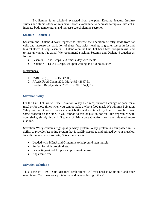Evodiamine is an alkaloid extracted from the plant Evodiae Fructus. In-vitro studies and studies done on rats have shown evodiamine to decrease fat uptake into cells, increase body temperature, and increase catecholamine secretion

### **Sesamin + Dialene 4**

Sesamin and Dialene 4 work together to increase the liberation of fatty acids from fat cells and increase the oxidation of these fatty acids, leading to greater losses in fat and less fat stored. Using Sesamin + Dialene 4 on the Cut Diet Lean Mass program will lead to less unwanted fat gains! We recommend stacking Sesamin and Dialene 4 together as follows:

- Sesamin—Take 1 capsule 3 times a day with meals
- Dialene 4—Take 2-3 capsules upon waking and 6-8 hours later

#### **References:**

- 1. JARQ 37 (3),  $151 158$  (2003)'
- 2. J Agric Food Chem. 2001 May;49(5):2647-51
- 3. Biochim Biophys Acta. 2001 Nov 30;1534(1):1-

## **Scivation Whey**

On the Cut Diet, we will use Scivation Whey as a nice, flavorful change of pace for a meal or for those times when you cannot make a whole food meal. We will mix Scivation Whey with a fat source such as peanut butter and create a tasty treat! If possible, have some broccoli on the side. If you cannot do this or just do not feel like vegetables with your shake, simply throw in 5 grams of Primaforce Glutaform to make this meal more alkaline.

Scivation Whey contains high quality whey protein. Whey protein is unsurpassed in its ability to provide fast acting protein that is readily absorbed and utilized by your muscles. In addition to a delicious taste, Scivation whey is:

- Loaded with BCAA and Glutamine to help build lean muscle.
- Perfect for high protein diets.
- Fast acting—ideal for pre and post workout use.
- Aspartame free.

#### **Scivation Solution 5**

This is the PERFECT Cut Diet meal replacement. All you need is Solution 5 and your meal is set. You have your protein, fat and vegetables right there!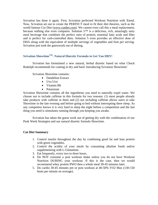Scivation has done it again. First, Scivation perfected Workout Nutrition with Xtend. Now, Scivation set out to create the PERFECT meal to fit their diet theories, such as the world famous Cut Diet (www.cutdiet.com). We cannot even call this a meal replacement, because nothing else even compares. Solution 5™ is a delicious, rich, amazingly tasty meal beverage that combines the perfect ratio of protein, essential fatty acids and fiber and is perfect for carb-controlled diets. Solution 5 even provides an effective dose of DHA along with the equivalent of multiple servings of vegetables and fruit per serving. Scivation just took the guesswork out of dieting.

## **Scivation ShowtimeTM- Natural Diuretic Formula to Get You DRY!**

 Scivation has formulated a new natural, herbal diuretic based on what Chuck Rudolph recommends for coming in dry and hard. Introducing Scivation Showtime!

Scivation Showtime contains:

- Dandelion Extract
- Uva Ursi
- Vitamin B6
- Potassium

Scivation Showtime contains all the ingredients you need to naturally expel water. We choose not to include caffeine in this formula for two reasons: (1) most people already take products with caffeine in them and (2) not including caffeine allows users to take Showtime in the late evening and before going to bed without interrupting there sleep. As any competitor knows it is very hard to sleep the night before a competition and the last thing you need is stimulants running through you keeping you awake.

 Scivation has taken the guess work out of getting dry with the combination of our Peak Week Strategies and our natural diuretic formula Showtime.

#### **Cut Diet Summary**

- 1. Control insulin throughout the day by combining good fat and lean protein with green vegetables.
- 2. Control the acidity of your meals by consuming alkaline foods and/or supplementing with L-Glutamine.
- 3. Eat frequently, every two to three hours.
- 4. Do NOT consume a post workout shake unless you do not have Workout Nutrition DURING your workout. If this is the case, then we would recommend whey protein PWO then a whole meal 30-45 minutes later.
- 5. Do cardio 30-45 minutes pre or post workout at 40-50% VO2 Max (130-150 beats per minute on average).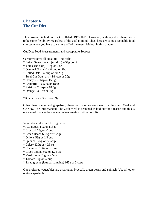# **Chapter 6 The Cut Diet**

This program is laid out for OPTIMAL RESULTS. However, with any diet, there needs to be some flexibility regardless of the goal in mind. Thus, here are some acceptable food choices when you have to venture off of the menu laid out in this chapter.

Cut Diet Food Measurements and Acceptable Sources

Carbohydrates: all equal to  $\sim$ 15g carbs

- \* Baked Sweet potato (no skin) 57gg or 2 oz
- \* Yams (no skin) 57g or 2 oz
- $*$  Oatmeal (Instant)  $\frac{1}{4}$  cup or  $20g$
- $*$  Rolled Oats ¼ cup or 20.25g
- \* Steel Cut Oats, dry 1/8 cup or 20g
- $*$  Honey  $\frac{3}{4}$  tbsp or 15.8g
- \* Grapefruit 6.5 oz or 184g
- \* Raisins 2 tbsp or 18.5g
- \* Orange 3.5 oz or 99g

\*Blueberries – 3.5 oz or 99g

Other than orange and grapefruit, these carb sources are meant for the Carb Meal and CANNOT be interchanged. The Carb Meal is designed as laid out for a reason and this is not a meal that can be changed when seeking optimal results.

Vegetables: all equal to  $\sim$ 5g carbs

- \* Asparagus 4 oz or 113 g
- \* Broccoli 78g or ½ cup
- \* Green Beans 62.5g or ½ cup
- \* Onions 53g or 1/3 cup
- \* Spinach 125g or 2/3 cup
- \* Celery 120g or 4.25 oz
- \* Cucumber 156g or 5.5 oz
- \* Green onions 50g or 1.75 oz
- \* Mushrooms 78g or 2.5 oz
- \* Tomato 90g or ½ cup
- \* Salad greens (lettuce, romaine) 165g or 3 cups

Our preferred vegetables are asparagus, broccoli, green beans and spinach. Use all other options sparingly.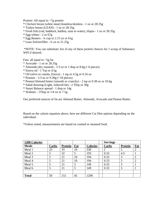Protein: All equal to  $\sim$ 7g protein

- \* Chicken breast (white meat) boneless/skinless 1 oz or 28.35g
- \* Turkey breast (LEAN) 1 oz or 28.35g
- \* Fresh fish (cod, haddock, halibut, tuna in water), tilapia 1 oz or 28.35g
- $*$  Egg whites 2 or 67g
- \* Egg Beaters ¼ cup or 2.15 oz or 61g
- \* Lean Sirloin/fillet ¾ oz or 21.25g

 \*NOTE: You can substitute 3oz of any of these protein choices for 1 scoop of Substance WPI if desired.

Fats: all equal to  $\sim$ 5g fat

- \* Avocado 1 oz or 28.35g
- \* Almonds (dry roasted)  $\frac{1}{3}$  oz or 1 tbsp or 8.6g (~6 pieces)
- \* Enova oil 1 Tsp or 4.5g
- \* Oil (olive or canola, Enova) 1 tsp or 4.5g or 0.16 oz
- \* Peanuts  $1/3$  oz or  $9.36g$  (~10 pieces)
- \* Peanut/Almond butter (smooth or crunchy) 2 tsp or 0.38 oz or 10.6g
- \* Salad dressing (Light, reduced-fat) 2 Tbsp or 30g
- \* Smart Balance spread 1 tbsp or 14g
- \* Walnuts 1Tbsp or 1/4 oz or 7.5g

Our preferred sources of fat are Almond Butter, Almonds, Avocado and Peanut Butter.

Based on the calorie equation above, here are different Cut Diet options depending on the individual.

\*Unless noted, measurements are based on cooked or steamed food.

| <b>1200 Calories</b> |       |                |     |                 | <b>Servings</b> |                |                |
|----------------------|-------|----------------|-----|-----------------|-----------------|----------------|----------------|
| <b>Meals</b>         | Carbs | <b>Protein</b> | Fat | <b>Calories</b> | Carbs           | <b>Protein</b> | Fat            |
| Meal 1               | 25    | 35             | 10  | 330             |                 | 5              | $\overline{2}$ |
| Meal 2               |       | 32             |     | 193             | 0.33            | 4.5            |                |
| Meal 3               |       | 21             | 10  | 194             | 0.33            | 3              | 2              |
| Meal 4               |       | 21             | 10  | 194             | 0.33            | 3              | 2              |
| Meal 5               |       | 21             | 5   | 149             | 0.33            | 3              |                |
| Meal 6               |       | 21             |     | 149             | 0.33            | 3              |                |
|                      |       |                |     |                 |                 |                |                |
| <b>Total</b>         | 50    | 151            | 45  | 1209            |                 |                |                |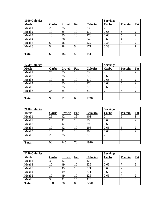| <b>1500 Calories</b> |       |                |     |                 | <b>Servings</b> |                |     |
|----------------------|-------|----------------|-----|-----------------|-----------------|----------------|-----|
| <b>Meals</b>         | Carbs | <b>Protein</b> | Fat | <b>Calories</b> | Carbs           | <b>Protein</b> | Fat |
| Meal 1               | 25    | 35             | 10  | 330             |                 | 5              |     |
| Meal 2               | 10    | 35             | 10  | 270             | 0.66            |                |     |
| Meal 3               | 10    | 35             | 10  | 270             | 0.66            |                |     |
| Meal 4               | 10    | 28             | 10  | 242             | 0.66            | 4              |     |
| Meal 5               | 5     | 28             | 10  | 222             | 0.33            | 4              |     |
| Meal 6               |       | 28             |     | 177             | 0.33            | 4              |     |
|                      |       |                |     |                 |                 |                |     |
| <b>Total</b>         | 65    | 189            | 55  | 1511            |                 |                |     |

| 1750 Calories |       |                |     |                 | <b>Servings</b> |                |     |
|---------------|-------|----------------|-----|-----------------|-----------------|----------------|-----|
| <b>Meals</b>  | Carbs | <b>Protein</b> | Fat | <b>Calories</b> | Carbs           | <b>Protein</b> | Fat |
| Meal 1        | 25    | 35             | 10  | 330             |                 |                |     |
| Meal 2        | 10    | 35             | 10  | 270             | 0.66            | 5              |     |
| Meal 3        | 10    | 35             | 10  | 270             | 0.66            |                |     |
| Meal 4        | 10    | 35             | 10  | 270             | 0.66            |                |     |
| Meal 5        | 10    | 35             | 10  | 270             | 0.66            | 5              | 2   |
| Meal 6        | 25    | 35             | 10  | 330             |                 |                |     |
|               |       |                |     |                 |                 |                |     |
| <b>Total</b>  | 90    | 210            | 60  | 1740            |                 |                |     |

| 2000 Calories |       |                |     |                 | <b>Servings</b> |                |     |
|---------------|-------|----------------|-----|-----------------|-----------------|----------------|-----|
| <b>Meals</b>  | Carbs | <b>Protein</b> | Fat | <b>Calories</b> | <b>Carbs</b>    | <b>Protein</b> | Fat |
| Meal 1        | 25    | 42             | 15  | 403             |                 | 6              | 3   |
| Meal 2        | 10    | 42             | 10  | 298             | 0.66            | 6              |     |
| Meal 3        | 10    | 42             | 10  | 298             | 0.66            | 6              |     |
| Meal 4        | 10    | 42             | 10  | 298             | 0.66            | 6              |     |
| Meal 5        | 10    | 42             | 10  | 298             | 0.66            | 6              |     |
| Meal 6        | 25    | 35             | 15  | 375             |                 |                |     |
|               |       |                |     |                 |                 |                |     |
| <b>Total</b>  | 90    | 245            | 70  | 1970            |                 |                |     |

| 2250 Calories |       |                |     |                 | <b>Servings</b> |                |     |
|---------------|-------|----------------|-----|-----------------|-----------------|----------------|-----|
| <b>Meals</b>  | Carbs | <b>Protein</b> | Fat | <b>Calories</b> | Carbs           | <b>Protein</b> | Fat |
| Meal 1        | 30    | 42             | 15  | 423             |                 | 6              |     |
| Meal 2        | 10    | 49             | 10  | 326             | 0.66            |                |     |
| Meal 3        | 10    | 49             | 15  | 371             | 0.66            |                |     |
| Meal 4        | 10    | 49             | 15  | 371             | 0.66            |                |     |
| Meal 5        | 10    | 49             | 10  | 326             | 0.66            |                |     |
| Meal 6        | 30    | 42             | 15  | 423             |                 | 6              |     |
| <b>Total</b>  | 100   | 280            | 80  | 2240            |                 |                |     |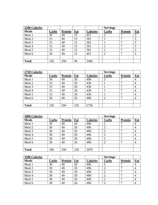| <b>2500 Calories</b> |       |                |     |                 | <b>Servings</b> |                |     |
|----------------------|-------|----------------|-----|-----------------|-----------------|----------------|-----|
| <b>Meals</b>         | Carbs | <b>Protein</b> | Fat | <b>Calories</b> | Carbs           | <b>Protein</b> | Fat |
| Meal 1               | 30    | 49             | 15  | 451             |                 |                |     |
| Meal 2               | 15    | 49             | 15  | 391             |                 |                |     |
| Meal 3               | 15    | 49             | 15  | 391             |                 | Ξ              |     |
| Meal 4               | 15    | 49             | 15  | 391             |                 | Ξ              |     |
| Meal 5               | 15    | 49             | 15  | 391             |                 |                | 3   |
| Meal 6               | 30    | 49             | 15  | 451             |                 | σ              | 3   |
|                      |       |                |     |                 |                 |                |     |
| <b>Total</b>         | 120   | 294            | 90  | 2466            |                 |                |     |

| 2750 Calories |       |         |     |                 | <b>Servings</b> |                |                |
|---------------|-------|---------|-----|-----------------|-----------------|----------------|----------------|
| <b>Meals</b>  | Carbs | Protein | Fat | <b>Calories</b> | Carbs           | <b>Protein</b> | Fat            |
| Meal 1        | 30    | 49      | 20  | 496             |                 |                | 4              |
| Meal 2        | 15    | 49      | 20  | 436             |                 |                | $\overline{4}$ |
| Meal 3        | 15    | 49      | 20  | 436             |                 |                | 4              |
| Meal 4        | 15    | 49      | 20  | 436             |                 |                | $\overline{4}$ |
| Meal 5        | 15    | 49      | 20  | 436             |                 | −              | $\overline{4}$ |
| Meal 6        | 30    | 49      | 20  | 496             | $\overline{2}$  | Ξ              | $\overline{4}$ |
|               |       |         |     |                 |                 |                |                |
| <b>Total</b>  | 120   | 294     | 120 | 2736            |                 |                |                |

| 3000 Calories |       |         |     |                 | <b>Servings</b> |                |                |
|---------------|-------|---------|-----|-----------------|-----------------|----------------|----------------|
| <b>Meals</b>  | Carbs | Protein | Fat | <b>Calories</b> | Carbs           | <b>Protein</b> | Fat            |
| Meal 1        | 30    | 49      | 20  | 496             |                 |                | 4              |
| Meal 2        | 30    | 49      | 20  | 496             | $\overline{2}$  | −              | $\overline{4}$ |
| Meal 3        | 30    | 49      | 20  | 496             | ∠               | -              | 4              |
| Meal 4        | 30    | 49      | 20  | 496             |                 |                | $\overline{4}$ |
| Meal 5        | 30    | 49      | 20  | 496             | っ               | −              | $\overline{4}$ |
| Meal 6        | 30    | 49      | 20  | 496             | ∍<br>∠          | −              | 4              |
|               |       |         |     |                 |                 |                |                |
| <b>Total</b>  | 180   | 294     | 120 | 2976            |                 |                |                |

| 3500 Calories |       |         |     |                 | <b>Servings</b> |                |     |
|---------------|-------|---------|-----|-----------------|-----------------|----------------|-----|
| <b>Meals</b>  | Carbs | Protein | Fat | <b>Calories</b> | Carbs           | <b>Protein</b> | Fat |
| Meal 1        | 30    | 49      | 20  | 496             |                 |                |     |
| Meal 2        | 30    | 49      | 20  | 496             |                 |                |     |
| Meal 3        | 30    | 49      | 20  | 496             |                 |                |     |
| Meal 4        | 30    | 49      | 20  | 496             |                 |                |     |
| Meal 5        | 30    | 49      | 20  | 496             |                 |                |     |
| Meal 6        | 30    | 49      | 20  | 496             |                 |                |     |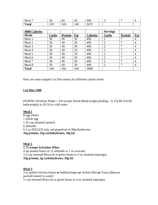| Meal         | 30                | $\Delta$ Q | ററ<br>∠∪ | 496                | ∼ | - |  |
|--------------|-------------------|------------|----------|--------------------|---|---|--|
| <b>Total</b> | $1 \Omega$<br>210 | 212<br>343 | 140      | 3472<br>$\sqrt{2}$ |   |   |  |

| <b>4000 Calories</b> |       |         |     |                 | <b>Servings</b> |                 |                |
|----------------------|-------|---------|-----|-----------------|-----------------|-----------------|----------------|
| <b>Meals</b>         | Carbs | Protein | Fat | <b>Calories</b> | Carbs           | <b>Protein</b>  | Fat            |
| Meal 1               | 30    | 49      | 20  | 496             | 2               |                 | 4              |
| Meal 2               | 30    | 49      | 20  | 496             | $\overline{2}$  | ⇁               | $\overline{4}$ |
| Meal 3               | 30    | 49      | 20  | 496             | $\overline{2}$  | $\mathbf{\tau}$ | $\overline{4}$ |
| Meal 4               | 30    | 49      | 20  | 496             | $\overline{2}$  | $\mathbf{r}$    | $\overline{4}$ |
| Meal 5               | 30    | 49      | 20  | 496             | $\overline{2}$  | ┑               | 4              |
| Meal 6               | 30    | 49      | 20  | 496             | $\overline{2}$  | ⇁               | $\overline{4}$ |
| Meal 7               | 30    | 49      | 20  | 496             | ◠               | $\mathbf{\tau}$ | $\overline{4}$ |
| Meal 8               | 30    | 49      | 20  | 496             | $\overline{2}$  | 7               | $\overline{4}$ |
| <b>Total</b>         | 240   | 392     | 160 | 3968            |                 |                 |                |

Here are some sample Cut Diet menus for different calorie levels.

#### **Cut Diet 1200**

DURING Workout Shake  $= 4-8$  scoops Xtend (Bodyweight pending  $-0.17$ g BCAAs/lb bodyweight) in 20-24 oz cold water

## **Meal 1**

8 egg whites 1 whole egg 1.33 cup steamed spinach 6 almonds 6.5 oz PEELED ruby red grapefruit or 99g blueberries **35g protein, 25g carbohydrates, 10g fat**

#### **Meal 2**

#### **1.75 scoops Scivation Whey**

4 tsp peanut butter or 12 almonds or 1 oz avocado 1/2 cup steamed Broccoli or green beans or 4 oz steamed asparagus **35g protein, 5g carbohydrates, 10g fat** 

#### **Meal 3**

3 oz grilled chicken breast **or** halibut/tilapia **or** Sirloin fillet **or** Tuna (albacore packed/canned in water) ½ cup steamed Broccoli or green beans or 4 oz steamed asparagus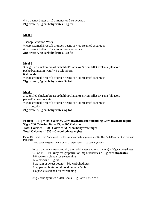### 4 tsp peanut butter or 12 almonds or 2 oz avocado **21g protein, 5g carbohydrates, 10g fat**

## **Meal 4**

1 scoop Scivation Whey ½ cup steamed Broccoli or green beans or 4 oz steamed asparagus 4 tsp peanut butter or 12 almonds or 2 oz avocado **21g protein, 5g carbohydrates, 10g fat**

## **Meal 5**

3 oz grilled chicken breast **or** halibut/tilapia **or** Sirloin fillet **or** Tuna (albacore packed/canned in water)+ 5g GlutaForm 6 almonds ½ cup steamed Broccoli or green beans or 4 oz steamed asparagus **21g protein, 5g carbohydrates, 5g fat** 

## **Meal 6**

3 oz grilled chicken breast **or** halibut/tilapia **or** Sirloin fillet **or** Tuna (albacore packed/canned in water)  $\frac{1}{2}$  cup steamed Broccoli or green beans or 4 oz steamed asparagus 1 oz avocado **21g protein, 5g carbohydrates, 5g fat** 

```
Protein – 151g = 604 Calories, Carbohydrates (not including Carbohydrate night) – 
50g = 200 Calories, Fat – 45g = 405 Calories 
Total Calories – 1209 Calories NON-carbohydrate night 
Total Calories – 1535 – Carbohydrate nights
```
Every 18th meal is the Carb meal. It is the last meal and it replaces Meal 6. The Carb Meal must be eaten in this order.

1 cup steamed green beans or 12 oz asparagus = 10g carbohydrates

 $\frac{1}{2}$  cup oatmeal (measured dry then add water and microwave) = 30g carbohydrates 6.5 oz PEELED ruby red grapefruit or 99g blueberries **= 15g carbohydrates**  4-6 packets splenda for sweetening 12 almonds  $= 10g$  fat  $4$  oz yam or sweet potato =  $30g$  carbohydrates 2 tsp peanut butter or almond butter  $=$  5g fat 4-6 packets splenda for sweetening

85g Carbohydrates =  $340$  Kcals,  $15g$  Fat =  $135$  Kcals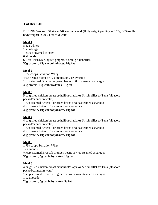## **Cut Diet 1500**

DURING Workout Shake  $= 4-8$  scoops Xtend (Bodyweight pending  $-0.17g$  BCAAs/lb bodyweight) in 20-24 oz cold water

## **Meal 1**

8 egg whites 1 whole egg 1.33cup steamed spinach 6 almonds 6.5 oz PEELED ruby red grapefruit or 99g blueberries **35g protein, 25g carbohydrates, 10g fat** 

## **Meal 2**

1.75 scoops Scivation Whey 4 tsp peanut butter or 12 almonds or 2 oz avocado 1 cup steamed Broccoli or green beans or 8 oz steamed asparagus 35g protein, 10g carbohydrates, 10g fat

## **Meal 3**

5 oz grilled chicken breast **or** halibut/tilapia **or** Sirloin fillet **or** Tuna (albacore packed/canned in water) 1 cup steamed Broccoli or green beans or 8 oz steamed asparagus

4 tsp peanut butter or 12 almonds or 2 oz avocado

## **35g protein, 10g carbohydrates, 10g fat**

## **Meal 4**

4 oz grilled chicken breast **or** halibut/tilapia **or** Sirloin fillet **or** Tuna (albacore packed/canned in water) 1 cup steamed Broccoli or green beans or 8 oz steamed asparagus 4 tsp peanut butter or 12 almonds or 2 oz avocado **28g protein, 10g carbohydrates, 10g fat** 

## **Meal 5**

1.75 scoops Scivation Whey 12 almonds  $\frac{1}{2}$  cup steamed Broccoli or green beans or 4 oz steamed asparagus **35g protein, 5g carbohydrates, 10g fat** 

## **Meal 6**

4 oz grilled chicken breast **or** halibut/tilapia **or** Sirloin fillet **or** Tuna (albacore packed/canned in water) ½ cup steamed Broccoli or green beans or 4 oz steamed asparagus 1 oz avocado **28g protein, 5g carbohydrates, 5g fat**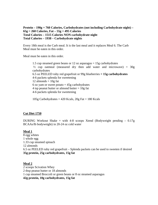```
Protein – 190g = 760 Calories, Carbohydrates (not including Carbohydrate night) – 
65g = 260 Calories, Fat – 55g = 495 Calories 
Total Calories – 1515 Calories NON-carbohydrate night 
Total Calories – 1938 – Carbohydrate nights
```
Every 18th meal is the Carb meal. It is the last meal and it replaces Meal 6. The Carb Meal must be eaten in this order.

Meal must be eaten in this order.

1.5 cup steamed green beans or 12 oz asparagus = 15g carbohydrates  $\frac{1}{2}$  cup oatmeal (measured dry then add water and microwave) = 30g carbohydrates 6.5 oz PEELED ruby red grapefruit or 99g blueberries **= 15g carbohydrates**  4-6 packets splenda for sweetening 12 almonds  $= 10g$  fat 6 oz yam or sweet potato  $= 45$ g carbohydrates 4 tsp peanut butter or almond butter  $= 10g$  fat 4-6 packets splenda for sweetening

105g Carbohydrates  $= 420$  Kcals,  $20g$  Fat  $= 180$  Kcals

#### **Cut Diet 1750**

DURING Workout Shake = with 4-8 scoops Xtend (Bodyweight pending  $-0.17g$ ) BCAAs/lb bodyweight) in 20-24 oz cold water

## **Meal 1**

8 egg whites 1 whole egg 1.33 cup steamed spinach 12 almonds 6.5 oz PEELED ruby red grapefruit – Splenda packets can be used to sweeten if desired **35g protein, 25g carbohydrates, 15g fat** 

### **Meal 2** 2 scoops Scivation Whey 2 tbsp peanut butter or 18 almonds 1 cup steamed Broccoli or green beans or 8 oz steamed asparagus **42g protein, 10g carbohydrates, 15g fat**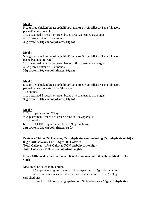## **Meal 3**

5 oz grilled chicken breast **or** halibut/tilapia **or** Sirloin fillet **or** Tuna (albacore packed/canned in water)

1 cup steamed Broccoli or green beans or 8 oz steamed asparagus

4 tsp peanut butter or 12 almonds

## **35g protein, 10g carbohydrates, 10g fat**

## **Meal 4**

5 oz grilled chicken breast **or** halibut/tilapia **or** Sirloin fillet **or** Tuna (albacore packed/canned in water)

1 cup steamed Broccoli or green beans or 8 oz steamed asparagus

4 tsp peanut butter or 12 almonds

## **35g protein, 10g carbohydrates, 10g fat**

## **Meal 5**

5 oz grilled chicken breast **or** halibut/tilapia **or** Sirloin fillet **or** Tuna (albacore packed/canned in water)+ 5g GlutaForm 12 almonds 1 cup steamed Broccoli or green beans or 8 oz steamed asparagus

**35g protein, 10g carbohydrates, 10g fat** 

## **Meal 6**

1.75 scoops Scivation Whey ½ cup steamed Broccoli or green beans or 4oz asparagus 1 oz avocado 6.5 oz PEELED ruby red grapefruit or 99g blueberries **35g protein, 25g carbohydrates, 5g fat** 

**Protein – 214g = 856 Calories, Carbohydrates (not including Carbohydrate night) – 85g = 340 Calories, Fat – 65g = 585 Calories Total Calories – 1781 Calories NON-carbohydrate night Total Calories – 2236 – Carbohydrate nights** 

### **Every 18th meal is the Carb meal. It is the last meal and it replaces Meal 6. The Carb**

Meal must be eaten in this order.

1.5 cup steamed green beans or 12 oz asparagus = 15g carbohydrates

 $\frac{1}{2}$  cup oatmeal (measured dry then add water and microwave) = 30g carbohydrates

6.5 oz PEELED ruby red grapefruit or 99g blueberries **= 15g carbohydrates**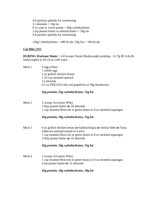4-6 packets splenda for sweetening 12 almonds  $= 10g$  fat 8 oz yam or sweet potato  $= 60$ g carbohydrates 2 tsp peanut butter or almond butter  $= 10g$  fat 4-6 packets splenda for sweetening

120g Carbohydrates = 480 Kcals,  $20g$  Fat = 180 Kcals

### **Cut Diet** 2000

**DURING Workout Shake** = 4-8 scoops Xtend (Bodyweight pending – 0.17g BCAAs/lb bodyweight) in 20-24 oz cold water

| 6 egg whites                                         |
|------------------------------------------------------|
| 1 whole egg                                          |
| 2 oz grilled chicken breast                          |
| 1.33 cup steamed spinach                             |
| 12 almonds                                           |
| 6.5 oz PEELED ruby red grapefruit or 99g blueberries |
|                                                      |

### **42g protein, 25g carbohydrates, 15g fat**

Meal 2 2 scoops Scivation Whey 2 tbsp peanut butter **or** 18 almonds 1 cup steamed Broccoli or green beans or 8 oz steamed asparagus

## **42g protein, 10g carbohydrates, 15g fat**

Meal 3 6 oz grilled chicken breast **or** halibut/tilapia **or** Sirloin fillet **or** Tuna (albacore packed/canned in water) 1 cup steamed Broccoli or green beans or 8 oz steamed asparagus 2 tbsp peanut butter **or** 18 almonds

## **42g protein, 10g carbohydrates, 15g fat**

Meal 4 2 scoops Scivation Whey 1 cup steamed Broccoli or green beans or 8 oz steamed asparagus 4 tsp peanut butter **or** 12 almonds

## **42g protein, 10g carbohydrates, 10g fat**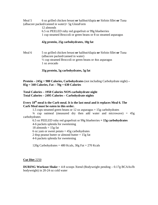Meal 5 6 oz grilled chicken breast **or** halibut/tilapia **or** Sirloin fillet **or** Tuna (albacore packed/canned in water)+ 5g GlutaForm 12 almonds 6.5 oz PEELED ruby red grapefruit or 99g blueberries 1 cup steamed Broccoli or green beans or 8 oz steamed asparagus

#### **42g protein, 25g carbohydrates, 10g fat**

Meal 6 5 oz grilled chicken breast **or** halibut/tilapia **or** Sirloin fillet **or** Tuna (albacore packed/canned in water) ½ cup steamed Broccoli or green beans or 4oz asparagus 1 oz avocado

**35g protein, 5g carbohydrates, 5g fat**

**Protein – 245g = 980 Calories, Carbohydrates** (not including Carbohydrate night) **– 85g = 340 Calories, Fat – 70g = 630 Calories** 

**Total Calories – 1950 Calories NON-carbohydrate night Total Calories – 2495 Calories – Carbohydrate nights** 

### **Every 18th meal is the Carb meal. It is the last meal and it replaces Meal 6. The Carb Meal must be eaten in this order.**

1.5 cups steamed green beans or 12 oz asparagus = 15g carbohydrates

 $\frac{3}{4}$  cup oatmeal (measured dry then add water and microwave) =  $\frac{45g}{4}$ carbohydrates

6.5 oz PEELED ruby red grapefruit or 99g blueberries **= 15g carbohydrates** 4-6 packets splenda for sweetening  $18$  almonds =  $15g$  fat 6 oz yam or sweet potato  $= 45$ g carbohydrates 2 tbsp peanut butter or almond butter  $= 15g$  fat 4-6 packets splenda for sweetening

120g Carbohydrates = 480 Kcals,  $30g$  Fat = 270 Kcals

#### **Cut Diet** 2250

**DURING Workout Shake** = 4-8 scoops Xtend (Bodyweight pending – 0.17g BCAAs/lb bodyweight) in 20-24 oz cold water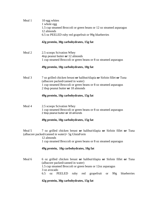| Meal 1 | 10 egg whites<br>1 whole egg<br>1.5 cup steamed Broccoli or green beans or 12 oz steamed asparagus<br>12 almonds<br>6.5 oz PEELED ruby red grapefruit or 99g blueberries                                                                                          |
|--------|-------------------------------------------------------------------------------------------------------------------------------------------------------------------------------------------------------------------------------------------------------------------|
|        | 42g protein, 30g carbohydrates, 15g fat                                                                                                                                                                                                                           |
| Meal 2 | 2.5 scoops Scivation Whey<br>4tsp peanut butter or 12 almonds<br>1 cup steamed Broccoli or green beans or 8 oz steamed asparagus<br>49g protein, 10g carbohydrates, 10g fat                                                                                       |
| Meal 3 | 7 oz grilled chicken breast or halibut/tilapia or Sirloin fillet or Tuna<br>(albacore packed/canned in water)<br>1 cup steamed Broccoli or green beans or 8 oz steamed asparagus<br>2 tbsp peanut butter or 18 almonds<br>49g protein, 10g carbohydrates, 15g fat |
| Meal 4 | 2.5 scoops Scivation Whey<br>1 cup steamed Broccoli or green beans or 8 oz steamed asparagus<br>2 tbsp peanut butter or 18 almonds<br>49g protein, 10g carbohydrates, 15g fat                                                                                     |
| Meal 5 | 7 oz grilled chicken breast or halibut/tilapia or Sirloin fillet or Tuna<br>(albacore packed/canned in water)+ 5g GlutaForm<br>12 almonds<br>1 cup steamed Broccoli or green beans or 8 oz steamed asparagus<br>49g protein, 10g carbohydrates, 10g fat           |
| Meal 6 | 6 oz grilled chicken breast or halibut/tilapia or Sirloin fillet or Tuna<br>(albacore packed/canned in water)<br>1.5 cup steamed Broccoli or green beans or 12oz asparagus<br>3 oz avocado<br>oz PEELED ruby red grapefruit or 99g blueberries<br>6.5             |
|        | 42g nrotein. 30g carhohydrates. 15g fat.                                                                                                                                                                                                                          |

## **42g protein, 30g carbohydrates, 15g fat**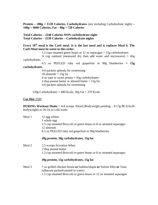**Protein – 280g = 1120 Calories, Carbohydrates** (not including Carbohydrate night) **– 100g = 4000 Calories, Fat – 80g = 720 Calories** 

**Total Calories – 2240 Calories NON-carbohydrate night Total Calories – 2530 Calories – Carbohydrate nights** 

## Every 18<sup>th</sup> meal is the Carb meal. It is the last meal and it replaces Meal 6. The **Carb Meal must be eaten in this order.**

1.5 cups steamed green beans or 12 oz asparagus = 15g carbohydrates

 $\frac{3}{4}$  cup oatmeal (measured dry then add water and microwave) =  $45g$ carbohydrates

 6.5 oz PEELED ruby red grapefruit or 99g blueberries **= 15g carbohydrates** 

 4-6 packets splenda for sweetening 18 almonds  $= 15$ g fat 6 oz yam or sweet potato  $= 45$ g carbohydrates 2 tbsp peanut butter or almond butter  $= 15g$  fat 4-6 packets splenda for sweetening

120g Carbohydrates = 480 Kcals, 30g Fat = 270 Kcals

#### **Cut Diet** 2500

**DURING Workout Shake** = 4-8 scoops Xtend (Bodyweight pending – 0.17g BCAAs/lb bodyweight) in 20-24 oz cold water

| Meal 1 | 12 egg whites<br>1 whole egg<br>1.5 cup steamed Broccoli or green beans or 8 oz steamed asparagus<br>12 almonds<br>6.5 oz PEELED ruby red grapefruit or 99g blueberries |
|--------|-------------------------------------------------------------------------------------------------------------------------------------------------------------------------|
|        | 49g protein, 30g carbohydrates, 15g fat                                                                                                                                 |
| Meal 2 | 2.5 scoops Scivation Whey<br>2 tbsp peanut butter<br>1.5 cup steamed Broccoli or green beans or 8 oz steamed asparagus                                                  |
|        | 49g protein, 15g carbohydrates, 15g fat                                                                                                                                 |
| Meal 3 | 7 oz grilled chicken breast or halibut/tilapia or Sirloin fillet or Tuna<br>(albacore packed/canned in water)                                                           |

1.5 cup steamed Broccoli or green beans or 12 oz steamed asparagus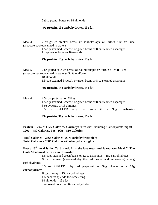2 tbsp peanut butter **or** 18 almonds

### **49g protein, 15g carbohydrates, 15g fat**

Meal 4 7 oz grilled chicken breast **or** halibut/tilapia **or** Sirloin fillet **or** Tuna (albacore packed/canned in water)

> 1.5 cup steamed Broccoli or green beans or 8 oz steamed asparagus 2 tbsp peanut butter **or** 18 almonds

### **49g protein, 15g carbohydrates, 15g fat**

Meal 5 7 oz grilled chicken breast **or** halibut/tilapia **or** Sirloin fillet **or** Tuna (albacore packed/canned in water)+ 5g GlutaForm

18 almonds

1.5 cup steamed Broccoli or green beans or 8 oz steamed asparagus

### **49g protein, 15g carbohydrates, 15g fat**

| Meal 6 | 2.5 scoops Scivation Whey |                                                                   |                            |  |  |  |  |  |                                                      |  |
|--------|---------------------------|-------------------------------------------------------------------|----------------------------|--|--|--|--|--|------------------------------------------------------|--|
|        |                           | 1.5 cup steamed Broccoli or green beans or 8 oz steamed asparagus |                            |  |  |  |  |  |                                                      |  |
|        |                           |                                                                   | 3 oz avocado or 18 almonds |  |  |  |  |  |                                                      |  |
|        |                           |                                                                   |                            |  |  |  |  |  | 6.5 oz PEELED ruby red grapefruit or 99g blueberries |  |

**49g protein, 30g carbohydrates, 15g fat**

**Protein – 294 = 1176 Calories, Carbohydrates** (not including Carbohydrate night) **– 120g = 480 Calories, Fat – 90g = 810 Calories** 

**Total Calories – 2466 Calories NON-carbohydrate night Total Calories – 2885 Calories – Carbohydrate nights** 

Every 18<sup>th</sup> meal is the Carb meal. It is the last meal and it replaces Meal 7. The **Carb Meal must be eaten in this order.** 

1.5 cups steamed green beans or 12 oz asparagus  $= 15$ g carbohydrates

 $\frac{3}{4}$  cup oatmeal (measured dry then add water and microwave) =  $\frac{45g}{4}$ carbohydrates

 6.5 oz PEELED ruby red grapefruit or 99g blueberries **= 15g carbohydrates** 

> $\frac{3}{4}$  tbsp honey = 15g carbohydrates 4-6 packets splenda for sweetening 18 almonds  $= 15g$  fat 8 oz sweet potato  $= 60$ g carbohydrates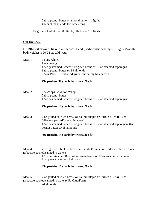2 tbsp peanut butter or almond butter = 15g fat 4-6 packets splenda for sweetening

150g Carbohydrates =  $600$  Kcals,  $30g$  Fat =  $270$  Kcals

#### **Cut Diet** 2750

**DURING Workout Shake** = 4-8 scoops Xtend (Bodyweight pending – 0.17g BCAAs/lb bodyweight) in 20-24 oz cold water

Meal 1 12 egg whites 1 whole egg 1.5 cup steamed Broccoli or green beans or 12 oz steamed asparagus 1 tbsp peanut butter **or** 18 almonds 6.5 oz PEELED ruby red grapefruit or 99g blueberries

### **49g protein, 30g carbohydrates, 20g fat**

Meal 2 2.5 scoops Scivation Whey 2 tbsp peanut butter 1.5 cup steamed Broccoli or green beans or 12 oz steamed asparagus

## **49g protein, 15g carbohydrates, 20g fat**

Meal 3 7 oz grilled chicken breast **or** halibut/tilapia **or** Sirloin fillet **or** Tuna (albacore packed/canned in water) 1.5 cup steamed Broccoli or green beans or 12 oz steamed asparagus2 tbsp peanut butter **or** 18 almonds

## **49g protein, 15g carbohydrates, 20g fat**

Meal 4 7 oz grilled chicken breast **or** halibut/tilapia **or** Sirloin fillet **or** Tuna (albacore packed/canned in water)

> 1 1.5 cup steamed Broccoli or green beans or 12 oz steamed asparagus 8 tsp peanut butter **or** 18 almonds

#### **49g protein, 15g carbohydrates, 20g fat**

Meal 5 7 oz grilled chicken breast **or** halibut/tilapia **or** Sirloin fillet **or** Tuna (albacore packed/canned in water)+ 5g GlutaForm 24 almonds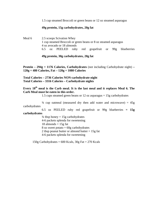1.5 cup steamed Broccoli or green beans or 12 oz steamed asparagus

#### **49g protein, 15g carbohydrates, 20g fat**

Meal 6 2.5 scoops Scivation Whey 1 cup steamed Broccoli or green beans or 8 oz steamed asparagus 4 oz avocado or 18 almonds 6.5 oz PEELED ruby red grapefruit or 99g blueberries

#### **49g protein, 30g carbohydrates, 20g fat**

**Protein – 294g = 1176 Calories, Carbohydrates** (not including Carbohydrate night) **– 120g = 480 Calories, Fat – 120g = 1080 Calories** 

**Total Calories – 2736 Calories NON-carbohydrate night Total Calories – 3316 Calories – Carbohydrate nights** 

## Every 18<sup>th</sup> meal is the Carb meal. It is the last meal and it replaces Meal 6. The **Carb Meal must be eaten in this order.**

1.5 cups steamed green beans or 12 oz asparagus = 15g carbohydrates

 $\frac{3}{4}$  cup oatmeal (measured dry then add water and microwave) =  $45g$ carbohydrates

 6.5 oz PEELED ruby red grapefruit or 99g blueberries **= 15g carbohydrates** 

> $\frac{3}{4}$  tbsp honey = 15g carbohydrates 4-6 packets splenda for sweetening  $18$  almonds =  $15g$  fat 8 oz sweet potato  $= 60$ g carbohydrates 2 tbsp peanut butter or almond butter  $= 15g$  fat 4-6 packets splenda for sweetening

150g Carbohydrates =  $600$  Kcals,  $30g$  Fat =  $270$  Kcals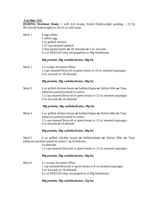### **Cut Diet** 3000

**DURING Workout Shake** = with 4-8 scoops Xtend (Bodyweight pending – 0.17g BCAAs/lb bodyweight) in 20-24 oz cold water

| Meal 1 | 6 egg whites<br>1 whole egg<br>2 oz grilled chicken<br>1.33 cup steamed spinach<br>2 tbsp peanut butter or 18 almonds or 3 oz avocado<br>6.5 oz PEELED ruby red grapefruit or 99g blueberries                     |
|--------|-------------------------------------------------------------------------------------------------------------------------------------------------------------------------------------------------------------------|
|        | 49g protein, 30g carbohydrates, 20g fat                                                                                                                                                                           |
| Meal 2 | 2.5 scoops Scivation Whey<br>2 cups steamed Broccoli or green beans or 16 oz steamed asparagus<br>4 oz avocado or 18 almonds                                                                                      |
|        | 49g protein, 30g carbohydrates, 20g fat                                                                                                                                                                           |
| Meal 3 | 6 oz grilled chicken breast or halibut/tilapia or Sirloin fillet or Tuna<br>(albacore packed/canned in water)<br>1.5 cup steamed Broccoli or green beans or 12 oz steamed asparagus<br>4 oz avocado or 24 almonds |
|        | 49g protein, 30g carbohydrates, 20g fat                                                                                                                                                                           |
| Meal 4 | 6 oz grilled chicken breast or halibut/tilapia or Sirloin fillet or Tuna<br>(albacore packed/canned in water)<br>1.5 cup steamed Broccoli or green beans or 12 oz steamed asparagus<br>4 oz avocado or 24 almonds |
|        | 49g protein, 30g carbohydrates, 20g fat                                                                                                                                                                           |
| Meal 5 | 6 oz grilled chicken breast or halibut/tilapia or Sirloin fillet or Tuna<br>(albacore packed/canned in water)+ 5g GlutaForm<br>24 almonds<br>1.5 cup steamed Broccoli or green beans or 12 oz steamed asparagus   |
|        | 49g protein, 30g carbohydrates, 20g fat                                                                                                                                                                           |
| Meal 6 | 2.5 scoops Scivation Whey<br>1 cup steamed Broccoli or green beans or 8 oz steamed asparagus<br>4 oz avocado or 18 almonds<br>6.5 oz PEELED ruby red grapefruit or 99g blueberries                                |
|        |                                                                                                                                                                                                                   |

## **49g protein, 30g carbohydrates, 15g fat**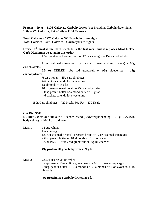**Protein – 294g = 1176 Calories, Carbohydrates** (not including Carbohydrate night) **– 180g = 720 Calories, Fat – 120g = 1180 Calories** 

**Total Calories – 2976 Calories NON-carbohydrate night Total Calories – 3470 Calories – Carbohydrate nights** 

#### Every 18<sup>th</sup> meal is the Carb meal. It is the last meal and it replaces Meal 6. The **Carb Meal must be eaten in this order.**

1.5 cups steamed green beans or 12 oz asparagus = 15g carbohydrates

1 cup oatmeal (measured dry then add water and microwave)  $= 60g$ carbohydrates

 6.5 oz PEELED ruby red grapefruit or 99g blueberries **= 15g carbohydrates** 

> $\frac{3}{4}$  tbsp honey = 15g carbohydrates 4-6 packets splenda for sweetening  $18$  almonds =  $15g$  fat 10 oz yam or sweet potato  $= 75$ g carbohydrates 2 tbsp peanut butter or almond butter = 15g fat 4-6 packets splenda for sweetening

180g Carbohydrates = 720 Kcals,  $30g$  Fat = 270 Kcals

#### **Cut Diet 3500**

**DURING Workout Shake** = 4-8 scoops Xtend (Bodyweight pending – 0.17g BCAAs/lb bodyweight) in 20-24 oz cold water

| Meal 1 | 12 egg whites                                                      |
|--------|--------------------------------------------------------------------|
|        | 1 whole egg                                                        |
|        | 1.5 cup steamed Broccoli or green beans or 12 oz steamed asparagus |
|        | 2 tbsp peanut butter or 18 almonds or 3 oz avocado                 |
|        | 6.5 oz PEELED ruby red grapefruit or 99g blueberries               |

#### **49g protein, 30g carbohydrates, 20g fat**

Meal 2 2.5 scoops Scivation Whey 3 cup steamed Broccoli or green beans or 16 oz steamed asparagus 2 tbsp peanut butter + 12 almonds **or** 30 almonds or 2 oz avocado + 18 almonds

#### **49g protein, 30g carbohydrates, 20g fat**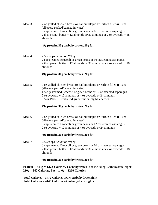Meal 3 7 oz grilled chicken breast **or** halibut/tilapia **or** Sirloin fillet **or** Tuna (albacore packed/canned in water) 3 cup steamed Broccoli or green beans or 16 oz steamed asparagus 2 tbsp peanut butter + 12 almonds **or** 30 almonds or 2 oz avocado + 18 almonds

#### **49g protein, 30g carbohydrates, 20g fat**

Meal 4 2.5 scoops Scivation Whey 2 cup steamed Broccoli or green beans or 16 oz steamed asparagus 2 tbsp peanut butter + 12 almonds **or** 30 almonds or 2 oz avocado + 18 almonds

#### **49g protein, 30g carbohydrates, 20g fat**

Meal 5 7 oz grilled chicken breast **or** halibut/tilapia **or** Sirloin fillet **or** Tuna (albacore packed/canned in water) 1.5 cup steamed Broccoli or green beans or 12 oz steamed asparagus 2 oz avocado + 12 almonds or 4 oz avocado or 24 almonds 6.5 oz PEELED ruby red grapefruit or 99g blueberries

#### **49g protein, 30g carbohydrates, 20g fat**

Meal 6 7 oz grilled chicken breast **or** halibut/tilapia **or** Sirloin fillet **or** Tuna (albacore packed/canned in water) 3 cup steamed Broccoli or green beans or 12 oz steamed asparagus 2 oz avocado + 12 almonds or 4 oz avocado or 24 almonds

#### **49g protein, 30g carbohydrates, 20g fat**

Meal 7 2.5 scoops Scivation Whey 3 cup steamed Broccoli or green beans or 16 oz steamed asparagus 2 tbsp peanut butter + 12 almonds **or** 30 almonds or 2 oz avocado + 18 almonds

#### **49g protein, 30g carbohydrates, 20g fat**

**Protein – 343g = 1372 Calories, Carbohydrates** (not including Carbohydrate night) **– 210g = 840 Calories, Fat – 140g = 1260 Calories** 

**Total Calories – 3472 Calories NON-carbohydrate night Total Calories – 4146 Calories – Carbohydrate nights**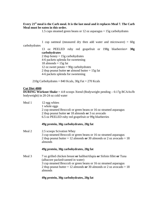## **Every 21st meal is the Carb meal. It is the last meal and it replaces Meal 7. The Carb Meal must be eaten in this order.**

1.5 cups steamed green beans or 12 oz asparagus = 15g carbohydrates

1 cup oatmeal (measured dry then add water and microwave)  $= 60g$ carbohydrates

13 oz PEELED ruby red grapefruit or 198g blueberries**= 30g carbohydrates** 2 tbsp honey  $= 15$ g carbohydrates 4-6 packets splenda for sweetening

 $18$  almonds =  $15g$  fat

12 oz sweet potato  $= 90$ g carbohydrates

2 tbsp peanut butter **or** almond butter = 15g fat

4-6 packets splenda for sweetening

 $210g$  Carbohydrates = 840 Kcals,  $30g$  Fat = 270 Kcals

### **Cut Diet 4000**

**DURING Workout Shake** = 4-8 scoops Xtend (Bodyweight pending – 0.17g BCAAs/lb bodyweight) in 20-24 oz cold water

| Meal 1 | 12 egg whites                                                    |
|--------|------------------------------------------------------------------|
|        | 1 whole eggs                                                     |
|        | 2 cup steamed Broccoli or green beans or 16 oz steamed asparagus |
|        | 2 tbsp peanut butter or 18 almonds or 3 oz avocado               |
|        | 6.5 oz PEELED ruby red grapefruit or 99g blueberries             |

#### **49g protein, 30g carbohydrates, 20g fat**

Meal 2 2.5 scoops Scivation Whey 3 cup steamed Broccoli or green beans or 16 oz steamed asparagus 2 tbsp peanut butter + 12 almonds **or** 30 almonds or 2 oz avocado + 18 almonds

#### **49g protein, 30g carbohydrates, 20g fat**

Meal 3 7 oz grilled chicken breast **or** halibut/tilapia **or** Sirloin fillet **or** Tuna (albacore packed/canned in water) 3 cup steamed Broccoli or green beans or 16 oz steamed asparagus 2 tbsp peanut butter + 12 almonds **or** 30 almonds or 2 oz avocado + 18 almonds

## **49g protein, 30g carbohydrates, 20g fat**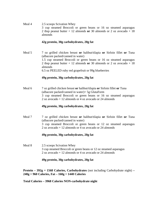Meal 4 2.5 scoops Scivation Whey 3 cup steamed Broccoli or green beans or 16 oz steamed asparagus 2 tbsp peanut butter + 12 almonds **or** 30 almonds or 2 oz avocado + 18 almonds

#### **42g protein, 30g carbohydrates, 20g fat**

Meal 5 7 oz grilled chicken breast **or** halibut/tilapia **or** Sirloin fillet **or** Tuna (albacore packed/canned in water) 1.5 cup steamed Broccoli or green beans or 16 oz steamed asparagus 2 tbsp peanut butter + 12 almonds **or** 30 almonds or 2 oz avocado + 18 almonds 6.5 oz PEELED ruby red grapefruit or 99g blueberries

#### **49g protein, 30g carbohydrates, 20g fat**

Meal 6 7 oz grilled chicken breast **or** halibut/tilapia **or** Sirloin fillet **or** Tuna (albacore packed/canned in water)+ 5g GlutaForm 3 cup steamed Broccoli or green beans or 16 oz steamed asparagus 2 oz avocado + 12 almonds or 4 oz avocado or 24 almonds

#### **49g protein, 30g carbohydrates, 20g fat**

Meal 7 7 oz grilled chicken breast **or** halibut/tilapia **or** Sirloin fillet **or** Tuna (albacore packed/canned in water) 3 cup steamed Broccoli or green beans or 12 oz steamed asparagus 2 oz avocado + 12 almonds or 4 oz avocado or 24 almonds

#### **49g protein, 30g carbohydrates, 20g fat**

Meal 8 2.5 scoops Scivation Whey 3 cup steamed Broccoli or green beans or 12 oz steamed asparagus 2 oz avocado + 12 almonds or 4 oz avocado or 24 almonds

#### **49g protein, 30g carbohydrates, 20g fat**

**Protein – 392g = 1568 Calories, Carbohydrates** (not including Carbohydrate night) **– 240g = 960 Calories, Fat – 160g = 1440 Calories** 

**Total Calories – 3968 Calories NON-carbohydrate night**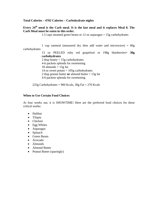#### **Total Calories – 4702 Calories – Carbohydrate nights**

## Every 24<sup>th</sup> meal is the Carb meal. It is the last meal and it replaces Meal 8. The **Carb Meal must be eaten in this order.**

1.5 cups steamed green beans or 12 oz asparagus = 15g carbohydrates

 1 cup oatmeal (measured dry then add water and microwave) = 60g carbohydrates 13 oz PEELED ruby red grapefruit or 198g blueberries**= 30g carbohydrates** 2 tbsp honey  $= 15$ g carbohydrates 4-6 packets splenda for sweetening  $18$  almonds =  $15g$  fat 14 oz sweet potato  $= 105$ g carbohydrates 2 tbsp peanut butter **or** almond butter = 15g fat 4-6 packets splenda for sweetening

225g Carbohydrates =  $900$  Kcals,  $30g$  Fat =  $270$  Kcals

#### **When to Use Certain Food Choices**

At four weeks out, it is SHOWTIME! Here are the preferred food choices for these critical weeks:

- Halibut
- Tilapia
- Chicken
- Egg Whites
- Asparagus
- Spinach
- Green Beans
- Avocado
- Almonds
- Almond Butter
- Peanut Butter (sparingly)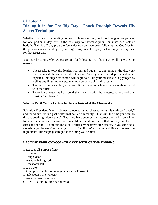# **Chapter 7 Dialing it in for The Big Day—Chuck Rudolph Reveals His Secret Technique**

Whether it's for a bodybuilding contest, a photo shoot or just to look as good as you can for one particular day, this is the best way to showcase your lean mass and lack of bodyfat. This is a 7 day program (considering you have been following the Cut Diet for the previous weeks leading to your target day) meant to get you looking your very best for that target day.

You may be asking why we eat certain foods leading into the show. Well, here are the reasons:

- Cheesecake is typically loaded with fat and sugar. At this point in the diet your body wants all the carbohydrates it can get. Since you are carb depleted and water depleted, this sugar/fat combo will begin to fill up your muscles with glycogen as well as any lingering water…making you very tight and vascular.
- The red wine is alcohol, a natural diuretic and as a bonus, it tastes damn good with the fillet!
- There is no water intake around this meal or with the cheesecake to avoid any possible "spill-over".

### **What to Eat if You're Lactose Intolerant Instead of the Cheesecake**

Scivation President Marc Lobliner competed using cheesecake as his carb up "goody" and found himself in a gastrointestinal battle with reality. This is *not* the time you want to disrupt anything "down there". Thus, we have scoured the internet and in his own hunt for a perfect chocolate, lactose-free cake, Marc found this recipe that not only had the fat, carbs and salt to fill him out, but didn't cause any negative side effects. If you can find a store-bought, lactose-free cake, go for it. But if you're like us and like to control the ingredients, this recipe just might be the thing you're after!

## **LACTOSE-FREE CHOCOLATE CAKE WITH CRUMB TOPPING**

1-1/2 cups all-purpose flour 1 cup sugar 1/4 cup Cocoa 1 teaspoon baking soda 1/2 teaspoon salt 1 cup water 1/4 cup plus 2 tablespoons vegetable oil or Enova Oil 1 tablespoon white vinegar 1 teaspoon vanilla extract CRUMB TOPPING (recipe follows)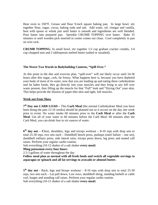Heat oven to 350°F. Grease and flour 9-inch square baking pan. In large bowl, stir together flour, sugar, cocoa, baking soda and salt. Add water, oil, vinegar and vanilla, beat with spoon or whisk just until batter is smooth and ingredients are well blended. Pour batter into prepared pan. Sprinkle CRUMB TOPPING over batter. Bake 35 minutes or until wooden pick inserted in center comes out clean. Cool completely in pan on wire rack.

**CRUMB TOPPING**: In small bowl, stir together 1/2 cup graham cracker crumbs, 1/4 cup chopped nuts and 2 tablespoons melted butter (salted or unsalted).

### **The Worst Two Words in Bodybuildng Contests, "Spill Over."**

At this point in the diet and exercise plan, "spill-over" will not likely occur until 24-36 hours after this sugar, carb, fat frenzy. What happens here is, because you have depleted your body of most of its water, now that you are loading up and eating these carbohydrate and fat laden foods, they go directly into your muscles and they bring in any left over water present, thus filling up the muscle for that "Full" look and "Drying Out" your skin. This helps provide the illusion of paper-thin skin and tight, full muscles.

#### **Week out from Show**

**7th Day out CARB LOAD –** This **Carb Meal** (the normal Carbohydrate Meal you have been doing the past 12-16 weeks) should be planned out so it occurs on the day one week prior to event. No water intake 60 minutes prior to the **Carb Meal** or after the **Carb Meal**. Get all of your water in 60 minutes before the Carb Meal. 60 minutes after the Carb Meal, you can drink four to six ounces of water.

**6th day out – C**hest, shoulders, legs and triceps workout – 8-10 reps with drop sets to total 25-30 reps, two sets each – Dumbbell bench press, pushups (until failure – one set), dumbbell military press, side lateral raise, triceps press down, leg press and seated calf raises. Perform your regular cardio routine.

Salt everything (10-12 shakes of a salt shaker **every meal**)

#### **99mg potassium every four hours**

2.5-3 gallons of water throughout the day

**Follow meal plan as normal with all fresh foods and switch all vegetable servings to asparagus or spinach and all fat servings to avocado or almond butter.** 

5<sup>th</sup> day out - Back, legs and biceps workout – 8-10 reps with drop sets to total 25-30 reps, two sets each – Lat pull down, Low rows, dumbbell shrug, standing barbell or cable curl, lunges and standing calf raises. Perform your regular cardio routine. Salt everything (10-12 shakes of a salt shaker **every meal**)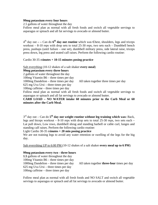#### **99mg potassium every four hours**

2.5 gallons of water throughout the day

Follow meal plan as normal with all fresh foods and switch all vegetable servings to asparagus or spinach and all fat servings to avocado or almond butter.

 $4<sup>th</sup>$  day out  $-$  - Can do  $6<sup>th</sup>$  day out routine which was Chest, shoulders, legs and triceps workout – 8-10 reps with drop sets to total 25-30 reps, two sets each – Dumbbell bench press, pushups (until failure – one set), dumbbell military press, side lateral raise, triceps press down, leg press and seated calf raises. Perform the following cardio routine:

#### Cardio 30-35 m**inutes + 10-15 minutes posing practice**

Salt everything (10-12 shakes of a salt shaker **every meal**) **99mg potassium every three hours** 

2 gallons of water throughout the day

100mg Vitamin B6 – three times per day

1000mg Dandelion – three times per day All taken together three times per day

625 mg Uva Ursi – three times per day

100mg caffeine – three times per day

Follow meal plan as normal with all fresh foods and switch all vegetable servings to asparagus or spinach and all fat servings to avocado or almond butter.

**CARB LOAD – NO WATER intake 60 minutes prior to the Carb Meal or 60 minutes after the Carb Meal.** 

3rd day out – Can do **5th day out weight routine without leg training which was:** Back, legs and biceps workout  $-8-10$  reps with drop sets to total 25-30 reps, two sets each  $-$ Lat pull down, Low rows, dumbbell shrug and standing barbell or cable curl, lunges and standing calf raises. Perform the following cardio routine:

Light Cardio 30-35 m**inutes + 20 min posing practice** 

We are not training legs to avoid any water retention or swelling of the legs for the big day.

Salt everything UP to 6:00 PM (10-12 shakes of a salt shaker **every meal up to 6 PM**)

#### **99mg potassium every two - three hours**

**1.5** gallons of water throughout the day 100mg Vitamin B6 – three times per day 625 mg Uva Ursi – three times per day 100mg caffeine – three times per day

1000mg Dandelion – three times per day All taken together **three-four** times per day

Follow meal plan as normal with all fresh foods and NO SALT and switch all vegetable servings to asparagus or spinach and all fat servings to avocado or almond butter.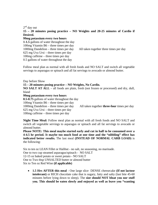$2<sup>nd</sup>$  day out

**15 – 20 minutes posing practice – NO Weights and 20-25 minutes of Cardio if Desired.**

#### **99mg potassium every two hours**

**1-1.5** gallons of water throughout the day 100mg Vitamin B6 – three times per day 1000mg Dandelion – three times per day All taken together three times per day 625 mg Uva Ursi – three times per day 100mg caffeine – three times per day 0.5 gallons of water throughout the day

Follow meal plan as normal with all fresh foods and NO SALT and switch all vegetable servings to asparagus or spinach and all fat servings to avocado or almond butter.

Day before Show **15 – 20 minutes posing practice – NO Weights, No Cardio. NO SALT AT ALL** – all foods are plain, fresh (not frozen or processed) and dry, dull, bland **99mg potassium every two hours 0.5-0.75** gallons of water throughout the day 100mg Vitamin B6 – three times per day 1000mg Dandelion – three times per day All taken together **three-four** times per day 625 mg Uva Ursi – three times per day

100mg caffeine – three times per day

**Night Time Meal:** Follow meal plan as normal with all fresh foods and NO SALT and switch all vegetable servings to asparagus or spinach and all fat servings to avocado or almond butter.

**Please NOTE: This meal maybe started early and cut in half to be consumed over a 4-4.5 hr period. It maybe too much food at one time and the "nibbling" effect has indicated better results.** The last meal **(INSTEAD OF NORMAL CARB LOAD)** is the following:

Six to ten oz LEAN Fillet or Halibut - no salt, no seasoning, no marinade. One to two cup steamed asparagus/spinach - NO SALT 12-15 oz baked potato or sweet potato - NO SALT One to Two tbsp UNSALTED butter or almond butter Six to Ten oz Red Wine **(if applicable)**

• **1.5 Hrs AFTER this meal** - One large slice DENSE cheesecake **(If not lactose intolerant)** or RICH chocolate cake that is sugary, fatty and salty (last bite 45-60 minutes before lying down to sleep). The **size should NOT bloat you nor stuff you. This should be eaten slowly and enjoyed as well as leave you "wanting**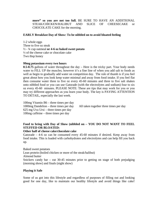**more" so you are not too full.** BE SURE TO HAVE AN ADDITIONAL STEAK/CHICKEN/HALIBUT AND SLICE OF CHEESECAKE or CHOCOLATE CAKE for the morning.

#### **EARLY Breakfast Day of Show: To be nibbled on to avoid bloated feeling**

1-2 whole eggs Three to five oz steak ½ - ¾ cup oatmeal **or 4-6 oz baked sweet potato** ½ of the cheese cake or chocolate cake Two tbsp honey

#### **99mg potassium every two hours**

**0.5-0.75** gallons of water throughout the day – Here is the tricky part. Your body needs water to FILL UP the muscles; however it's a fine line of when you add salt to foods as well as begin to gradually add water on competition day. The rule of thumb is if you feel great about how you look keep water minimal and away from food intake. If you feel flat then consume water three to five oz every 45-60 minutes and three to five salt shakes onto nibbled food or you can use Gatorade (with the electrolytes and sodium) four to six oz every 45-60 minutes. PLEASE NOTE: These are tips that may work for you or you may try different approaches as you learn your body. The key is PAYING ATTENTION TO DETAIL, especially the last week.

100mg Vitamin B6 – three times per day 1000mg Dandelion – three times per day All taken together three times per day 625 mg Uva Ursi – three times per day 100mg caffeine – three times per day

## **Food to bring with Day of Show (nibbled on – YOU DO NOT WANT TO FEEL STUFFED OR BLOATED:**

#### **Other half of cheese cake/chocolate cake**

Gatorade – 4-6 oz can be consumed every 45-60 minutes if desired. Keep away from food intake. This is loaded with carbohydrates and electrolytes and can help fill you back up.

Baked sweet potatoes Lean protein (boiled chicken or more of the steak/halibut) Almond butter Snickers candy bar – eat 30-45 minutes prior to getting on stage of both prejudging (morning show) and finals (night show)

#### **Playing it Safe**

Some of us got into this lifestyle and regardless of purposes of filling out and looking good for one day, like to maintain our healthy lifestyle and avoid things like cake!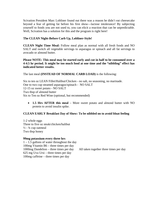Scivation President Marc Lobliner found out there was a reason he didn't eat cheesecake beyond a fear of getting fat before his first show—lactose intolerance! By subjecting yourself to foods you are not used to, you can elicit a reaction that can be unpredictable. Well, Scivation has a solution for this and the program is right here!

## **The CLEAN Night-Before Carb Up, Lobliner-Style!**

**CLEAN Night Time Meal:** Follow meal plan as normal with all fresh foods and NO SALT and switch all vegetable servings to asparagus or spinach and all fat servings to avocado or almond butter.

**Please NOTE: This meal may be started early and cut in half to be consumed over a 4-4.5 hr period. It might be too much food at one time and the "nibbling" effect has indicated better results.** 

The last meal **(INSTEAD OF NORMAL CARB LOAD)** is the following:

Six to ten oz LEAN Fillet/Halibut/Chicken - no salt, no seasoning, no marinade. One to two cup steamed asparagus/spinach - NO SALT 12-15 oz sweet potato - NO SALT Two tbsp of almond butter Six to Ten oz Red Wine (optional, but recommended)

• **1.5 Hrs AFTER this meal** – More sweet potato and almond butter with NO protein to avoid insulin spike.

### **CLEAN EARLY Breakfast Day of Show: To be nibbled on to avoid bloat feeling**

1-2 whole eggs Three to five oz steak/chicken/halibut  $\frac{1}{2}$  -  $\frac{3}{4}$  cup oatmeal Two tbsp honey

#### **99mg potassium every three hrs**

1 – 1.5 gallons of water throughout the day 100mg Vitamin B6 – three times per day 1000mg Dandelion – three times per day All taken together three times per day 625 mg Uva Ursi – three times per day 100mg caffeine – three times per day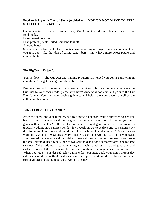### **Food to bring with Day of Show (nibbled on – YOU DO NOT WANT TO FEEL STUFFED OR BLOATED):**

Gatorade – 4-6 oz can be consumed every 45-60 minutes if desired. Just keep away from food intake.

Baked sweet potatoes

Lean protein (Steak/Boiled Chicken/Halibut)

Almond butter

Snickers candy bar – eat 30-45 minutes prior to getting on stage. If allergic to peanuts or you just don't like the idea of eating candy bars, simply have more sweet potato and almond butter.

### **The Big Day—Enjoy It!**

You've done it! The Cut Diet and training program has helped you get in SHOWTIME condition. Now get on stage and show those abs!

People all respond differently. If you need any advice or clarification on how to tweak the Cut Diet to your own needs, please visit http://www.scivation.com and go into the Cut Diet forums. Here, you can receive guidance and help from your peers as well as the authors of this book.

#### **What To Do AFTER The Show**

After the show, the diet must change to a more balanced/lifestyle approach to get you back to your maintenance calories or gradually get you to the caloric intake for your next goals without the DRASTIC BLOAT or severe weight gain. What we recommend is gradually adding 200 calories per day for a week on workout days and 100 calories per day for a week on non-workout days. Then each week add another 100 calories to workout days and 100 calories every other week on non-workout days until you reach your desired maintenance caloric intake. These calories can come from lean protein (one to three servings), healthy fats (one to two servings) and good carbohydrates (one to three servings). When adding in carbohydrates, start with breakfast first and gradually add carbs up to meal three, then meals four and on should be vegetables, protein and fat. When you reach your desired caloric intake for your next goal, your non-workout day calories should be 400-600 calories less than your workout day calories and your carbohydrates should be reduced as well on this day.